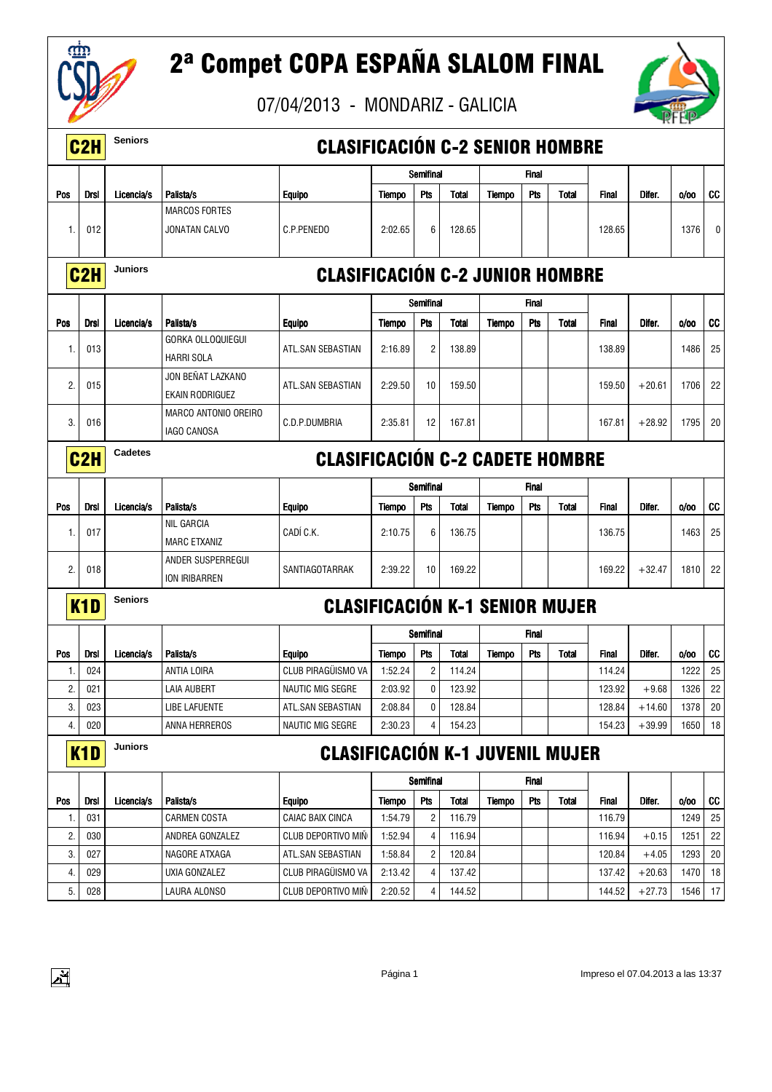

 $\frac{1}{2}$ 

# 2ª Compet COPA ESPAÑA SLALOM FINAL



|     | C <sub>2</sub> H | <b>Seniors</b> |                                               | <b>CLASIFICACIÓN C-2 SENIOR HOMBRE</b> |               |                |              |               |              |              |              |          |      |        |
|-----|------------------|----------------|-----------------------------------------------|----------------------------------------|---------------|----------------|--------------|---------------|--------------|--------------|--------------|----------|------|--------|
|     |                  |                |                                               |                                        |               | Semifinal      |              |               | Final        |              |              |          |      |        |
| Pos | Drsl             | Licencia/s     | Palista/s                                     | <b>Equipo</b>                          | Tiempo        | Pts            | <b>Total</b> | <b>Tiempo</b> | Pts          | Total        | <b>Final</b> | Difer.   | 0/00 | CC     |
|     |                  |                | <b>MARCOS FORTES</b>                          |                                        |               |                |              |               |              |              |              |          |      |        |
| 1.  | 012              |                | JONATAN CALVO                                 | C.P.PENEDO                             | 2:02.65       | 6              | 128.65       |               |              |              | 128.65       |          | 1376 | 0      |
|     | C <sub>2</sub> H | Juniors        |                                               | <b>CLASIFICACIÓN C-2 JUNIOR HOMBRE</b> |               |                |              |               |              |              |              |          |      |        |
|     |                  |                |                                               |                                        |               | Semifinal      |              |               | Final        |              |              |          |      |        |
| Pos | <b>Drsl</b>      | Licencia/s     | Palista/s                                     | <b>Equipo</b>                          | <b>Tiempo</b> | Pts            | <b>Total</b> | <b>Tiempo</b> | Pts          | <b>Total</b> | <b>Final</b> | Difer.   | 0/00 | CC     |
| -1. | 013              |                | <b>GORKA OLLOQUIEGUI</b><br><b>HARRI SOLA</b> | ATL.SAN SEBASTIAN                      | 2:16.89       | $\overline{2}$ | 138.89       |               |              |              | 138.89       |          | 1486 | 25     |
| 2.  | 015              |                | JON BEÑAT LAZKANO<br>EKAIN RODRIGUEZ          | ATL.SAN SEBASTIAN                      | 2:29.50       | 10             | 159.50       |               |              |              | 159.50       | $+20.61$ | 1706 | 22     |
| 3.  | 016              |                | <b>MARCO ANTONIO OREIRO</b><br>IAGO CANOSA    | C.D.P.DUMBRIA                          | 2:35.81       | 12             | 167.81       |               |              |              | 167.81       | $+28.92$ | 1795 | 20     |
|     | C <sub>2</sub> H | Cadetes        |                                               | <b>CLASIFICACIÓN C-2 CADETE HOMBRE</b> |               |                |              |               |              |              |              |          |      |        |
|     |                  |                |                                               |                                        |               | Semifinal      |              |               | <b>Final</b> |              |              |          |      |        |
| Pos | <b>Drsl</b>      | Licencia/s     | Palista/s                                     | <b>Equipo</b>                          | Tiempo        | Pts            | <b>Total</b> | Tiempo        | Pts          | <b>Total</b> | <b>Final</b> | Difer.   | 0/00 | CC     |
| -1. | 017              |                | <b>NIL GARCIA</b><br><b>MARC ETXANIZ</b>      | CADÍ C.K.                              | 2:10.75       | 6              | 136.75       |               |              |              | 136.75       |          | 1463 | 25     |
| 2.  | 018              |                | ANDER SUSPERREGUI<br>ION IRIBARREN            | SANTIAGOTARRAK                         | 2:39.22       | 10             | 169.22       |               |              |              | 169.22       | $+32.47$ | 1810 | 22     |
|     | K <sub>1</sub> D | <b>Seniors</b> |                                               | <b>CLASIFICACIÓN K-1 SENIOR MUJER</b>  |               |                |              |               |              |              |              |          |      |        |
|     |                  |                |                                               |                                        |               | Semifinal      |              |               | <b>Final</b> |              |              |          |      |        |
| Pos | Drsl             | Licencia/s     | Palista/s                                     | <b>Equipo</b>                          | <b>Tiempo</b> | <b>Pts</b>     | <b>Total</b> | Tiempo        | Pts          | <b>Total</b> | <b>Final</b> | Difer.   | 0/00 | cc     |
| -1. | 024              |                | ANTIA LOIRA                                   | CLUB PIRAGÜISMO VA                     | 1:52.24       | $\overline{2}$ | 114.24       |               |              |              | 114.24       |          | 1222 | 25     |
| 2.  | 021              |                | LAIA AUBERT                                   | <b>NAUTIC MIG SEGRE</b>                | 2:03.92       | 0              | 123.92       |               |              |              | 123.92       | $+9.68$  | 1326 | 22     |
| 3.  | 023              |                | LIBE LAFUENTE                                 | ATL.SAN SEBASTIAN                      | 2:08.84       | 0              | 128.84       |               |              |              | 128.84       | $+14.60$ | 1378 | $20\,$ |
| 4.  | 020              |                | ANNA HERREROS                                 | NAUTIC MIG SEGRE                       | 2:30.23       | 4              | 154.23       |               |              |              | 154.23       | $+39.99$ | 1650 | 18     |
|     | K <sub>1</sub> D | <b>Juniors</b> |                                               | <b>CLASIFICACIÓN K-1 JUVENIL MUJER</b> |               |                |              |               |              |              |              |          |      |        |
|     |                  |                |                                               |                                        |               | Semifinal      |              |               | <b>Final</b> |              |              |          |      |        |
| Pos | <b>Drsl</b>      | Licencia/s     | Palista/s                                     | <b>Equipo</b>                          | Tiempo        | Pts            | <b>Total</b> | Tiempo        | Pts          | <b>Total</b> | <b>Final</b> | Difer.   | 0/00 | CC     |
| -1. | 031              |                | <b>CARMEN COSTA</b>                           | CAIAC BAIX CINCA                       | 1:54.79       | $\overline{c}$ | 116.79       |               |              |              | 116.79       |          | 1249 | 25     |
| 2.  | 030              |                | ANDREA GONZALEZ                               | CLUB DEPORTIVO MIÑ                     | 1:52.94       | 4              | 116.94       |               |              |              | 116.94       | $+0.15$  | 1251 | 22     |
| 3.  | 027              |                | NAGORE ATXAGA                                 | ATL.SAN SEBASTIAN                      | 1:58.84       | $\overline{c}$ | 120.84       |               |              |              | 120.84       | $+4.05$  | 1293 | 20     |
| 4.  | 029              |                | UXIA GONZALEZ                                 | CLUB PIRAGÜISMO VA                     | 2:13.42       | 4              | 137.42       |               |              |              | 137.42       | $+20.63$ | 1470 | 18     |
| 5.  | 028              |                | LAURA ALONSO                                  | CLUB DEPORTIVO MIÑ                     | 2:20.52       | 4              | 144.52       |               |              |              | 144.52       | $+27.73$ | 1546 | 17     |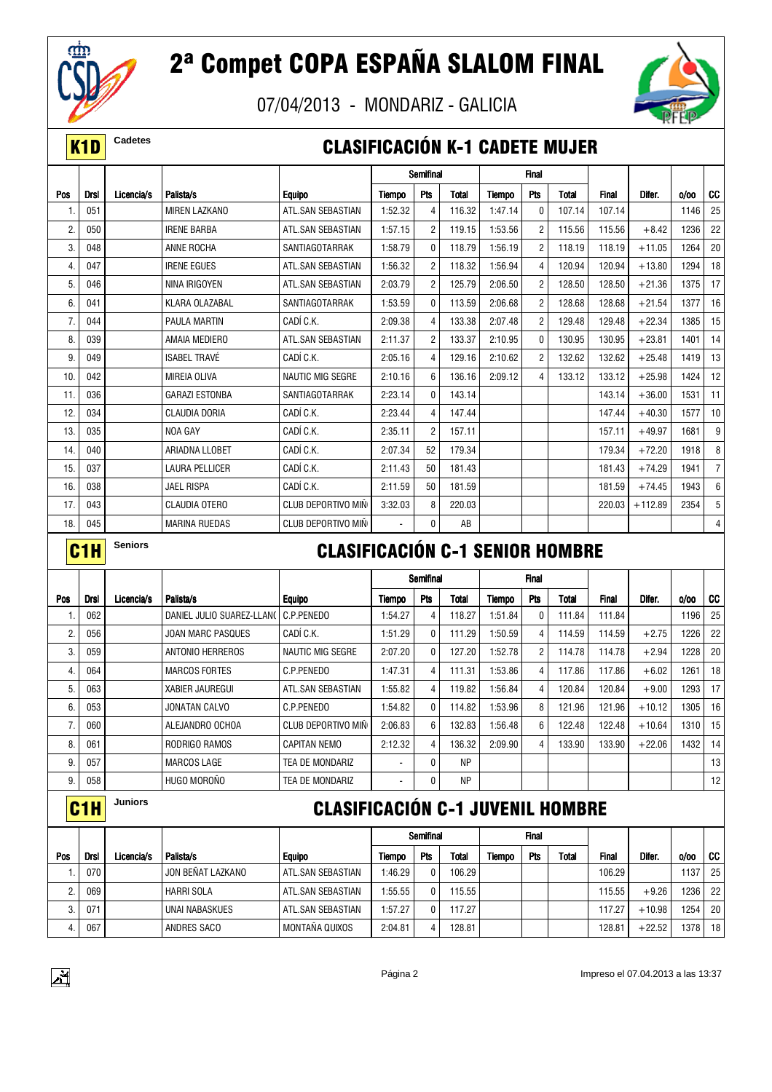

07/04/2013 - MONDARIZ - GALICIA



#### **K1D** Cadetes **CLASIFICACIÓN K-1 CADETE MUJER**

|     |             |            |                       |                         |         | Semifinal      |              |         | <b>Final</b>   |              |              |           |      |                 |
|-----|-------------|------------|-----------------------|-------------------------|---------|----------------|--------------|---------|----------------|--------------|--------------|-----------|------|-----------------|
| Pos | <b>Drsl</b> | Licencia/s | Palista/s             | <b>Equipo</b>           | Tiempo  | Pts            | <b>Total</b> | Tiempo  | <b>Pts</b>     | <b>Total</b> | <b>Final</b> | Difer.    | 0/00 | cc              |
|     | 051         |            | <b>MIREN LAZKANO</b>  | ATL.SAN SEBASTIAN       | 1:52.32 | 4              | 116.32       | 1:47.14 | 0              | 107.14       | 107.14       |           | 1146 | 25              |
| 2.  | 050         |            | <b>IRENE BARBA</b>    | ATL.SAN SEBASTIAN       | 1:57.15 | $\overline{2}$ | 119.15       | 1:53.56 | $\overline{2}$ | 115.56       | 115.56       | $+8.42$   | 1236 | 22              |
| 3.  | 048         |            | ANNE ROCHA            | SANTIAGOTARRAK          | 1:58.79 | 0              | 118.79       | 1:56.19 | $\overline{2}$ | 118.19       | 118.19       | $+11.05$  | 1264 | 20              |
| 4.  | 047         |            | <b>IRENE EGUES</b>    | ATL.SAN SEBASTIAN       | 1:56.32 | $\overline{2}$ | 118.32       | 1:56.94 | $\overline{4}$ | 120.94       | 120.94       | $+13.80$  | 1294 | 18              |
| 5.  | 046         |            | NINA IRIGOYEN         | ATL.SAN SEBASTIAN       | 2:03.79 | $\overline{2}$ | 125.79       | 2:06.50 | $\overline{2}$ | 128.50       | 128.50       | $+21.36$  | 1375 | 17              |
| 6.  | 041         |            | KLARA OLAZABAL        | SANTIAGOTARRAK          | 1:53.59 | $\Omega$       | 113.59       | 2:06.68 | $\overline{2}$ | 128.68       | 128.68       | $+21.54$  | 1377 | 16              |
| 7.  | 044         |            | <b>PAULA MARTIN</b>   | CADÍ C.K.               | 2:09.38 | $\overline{4}$ | 133.38       | 2:07.48 | $\overline{2}$ | 129.48       | 129.48       | $+22.34$  | 1385 | 15              |
| 8.  | 039         |            | AMAIA MEDIERO         | ATL.SAN SEBASTIAN       | 2:11.37 | $\overline{2}$ | 133.37       | 2:10.95 | 0              | 130.95       | 130.95       | $+23.81$  | 1401 | 14              |
| 9.  | 049         |            | <b>ISABEL TRAVÉ</b>   | CADÍ C.K.               | 2:05.16 | 4              | 129.16       | 2:10.62 | $\overline{2}$ | 132.62       | 132.62       | $+25.48$  | 1419 | 13              |
| 10. | 042         |            | <b>MIREIA OLIVA</b>   | <b>NAUTIC MIG SEGRE</b> | 2:10.16 | 6              | 136.16       | 2:09.12 | $\overline{4}$ | 133.12       | 133.12       | $+25.98$  | 1424 | 12              |
| 11. | 036         |            | <b>GARAZI ESTONBA</b> | SANTIAGOTARRAK          | 2:23.14 | $\Omega$       | 143.14       |         |                |              | 143.14       | $+36.00$  | 1531 | 11              |
| 12. | 034         |            | <b>CLAUDIA DORIA</b>  | CADÍ C.K.               | 2:23.44 | 4              | 147.44       |         |                |              | 147.44       | $+40.30$  | 1577 | 10 <sup>1</sup> |
| 13. | 035         |            | NOA GAY               | CADÍ C.K.               | 2:35.11 | $\overline{2}$ | 157.11       |         |                |              | 157.11       | $+49.97$  | 1681 | 9               |
| 14. | 040         |            | ARIADNA LLOBET        | CADÍ C.K.               | 2:07.34 | 52             | 179.34       |         |                |              | 179.34       | $+72.20$  | 1918 | 8               |
| 15. | 037         |            | <b>LAURA PELLICER</b> | CADÍ C.K.               | 2:11.43 | 50             | 181.43       |         |                |              | 181.43       | $+74.29$  | 1941 | $\overline{7}$  |
| 16. | 038         |            | <b>JAEL RISPA</b>     | CADÍ C.K.               | 2:11.59 | 50             | 181.59       |         |                |              | 181.59       | $+74.45$  | 1943 | 6               |
| 17. | 043         |            | <b>CLAUDIA OTERO</b>  | CLUB DEPORTIVO MIÑ      | 3:32.03 | 8              | 220.03       |         |                |              | 220.03       | $+112.89$ | 2354 | 5               |
| 18. | 045         |            | <b>MARINA RUEDAS</b>  | CLUB DEPORTIVO MIÑ      |         | 0              | AB           |         |                |              |              |           |      | 4               |

### **C1H** Seniors **CLASIFICACIÓN C-1 SENIOR HOMBRE**

|     |             |            |                           |                     |         | Semifinal      |           |         | <b>Final</b>   |        |              |          |      |                 |
|-----|-------------|------------|---------------------------|---------------------|---------|----------------|-----------|---------|----------------|--------|--------------|----------|------|-----------------|
| Pos | <b>Drsl</b> | Licencia/s | Palista/s                 | <b>Equipo</b>       | Tiempo  | Pts            | Total     | Tiempo  | Pts            | Total  | <b>Final</b> | Difer.   | 0/00 | CC              |
|     | 062         |            | DANIEL JULIO SUAREZ-LLANO | C.P.PENEDO          | 1:54.27 | 4              | 118.27    | 1:51.84 | 0              | 111.84 | 111.84       |          | 1196 | 25              |
| 2.  | 056         |            | <b>JOAN MARC PASQUES</b>  | CADÍ C.K.           | 1:51.29 | 0              | 111.29    | 1:50.59 | 4              | 114.59 | 114.59       | $+2.75$  | 1226 | 22              |
| 3.  | 059         |            | ANTONIO HERREROS          | NAUTIC MIG SEGRE    | 2:07.20 | 0              | 127.20    | 1:52.78 | $\overline{2}$ | 114.78 | 114.78       | $+2.94$  | 1228 | 20              |
| 4.  | 064         |            | <b>MARCOS FORTES</b>      | C.P.PENEDO          | 1:47.31 | 4              | 111.31    | 1:53.86 | 4              | 117.86 | 117.86       | $+6.02$  | 1261 | 18              |
| 5.  | 063         |            | <b>XABIER JAUREGUI</b>    | ATL.SAN SEBASTIAN   | 1:55.82 | 4              | 119.82    | 1:56.84 | 4              | 120.84 | 120.84       | $+9.00$  | 1293 | 17              |
| 6.  | 053         |            | JONATAN CALVO             | C.P.PENEDO          | 1:54.82 | 0              | 114.82    | 1:53.96 | 8              | 121.96 | 121.96       | $+10.12$ | 1305 | 16 <sub>1</sub> |
| 7.  | 060         |            | ALEJANDRO OCHOA           | CLUB DEPORTIVO MIN  | 2:06.83 | 6              | 132.83    | 1:56.48 | 6              | 122.48 | 122.48       | $+10.64$ | 1310 | 15              |
| 8.  | 061         |            | RODRIGO RAMOS             | <b>CAPITAN NEMO</b> | 2:12.32 | $\overline{4}$ | 136.32    | 2:09.90 | 4              | 133.90 | 133.90       | $+22.06$ | 1432 | 14 <sub>1</sub> |
| 9.  | 057         |            | MARCOS LAGE               | TEA DE MONDARIZ     |         | 0              | <b>NP</b> |         |                |        |              |          |      | 13              |
| 9.  | 058         |            | HUGO MOROÑO               | TEA DE MONDARIZ     |         | 0              | <b>NP</b> |         |                |        |              |          |      | 12              |

### C1H **Juniors** CLASIFICACIÓN C-1 JUVENIL HOMBRE

|         |      |            |                       |                   |         | Semifinal |              |        | <b>Final</b> |              |              |          |      |                 |
|---------|------|------------|-----------------------|-------------------|---------|-----------|--------------|--------|--------------|--------------|--------------|----------|------|-----------------|
| Pos     | Drsl | Licencia/s | Palista/s             | <b>Equipo</b>     | Tiempo  | Pts       | <b>Total</b> | Tiempo | Pts          | <b>Total</b> | <b>Final</b> | Difer.   | 0/00 | -CC I           |
|         | 070  |            | JON BENAT LAZKANO     | ATL.SAN SEBASTIAN | 1:46.29 | 0         | 106.29       |        |              |              | 106.29       |          | 1137 | 25 <sub>1</sub> |
| n<br>۷. | 069  |            | <b>HARRI SOLA</b>     | ATL.SAN SEBASTIAN | 1:55.55 | 0         | 115.55       |        |              |              | 115.55       | $+9.26$  | 1236 | 22 <sub>1</sub> |
| c<br>O. | 071  |            | <b>UNAI NABASKUES</b> | ATL.SAN SEBASTIAN | 1:57.27 | 0         | 117.27       |        |              |              | 117.27       | $+10.98$ | 1254 | 20 <sub>1</sub> |
|         | 067  |            | ANDRES SACO           | MONTAÑA QUIXOS    | 2:04.81 | 4         | 128.81       |        |              |              | 128.81       | $+22.52$ | 1378 | 18 <sup>1</sup> |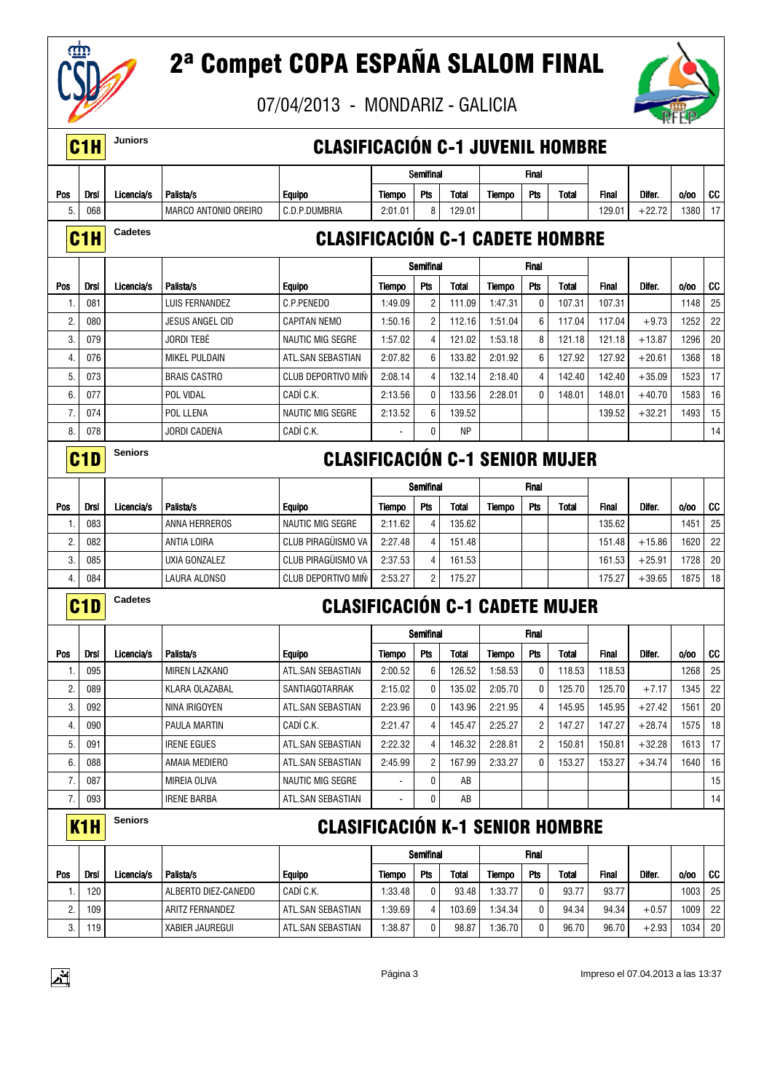



|            | C <sub>1</sub> H | Juniors        |                             | <b>CLASIFICACIÓN C-1 JUVENIL HOMBRE</b> |               |                |              |               |              |              |              |          |      |    |
|------------|------------------|----------------|-----------------------------|-----------------------------------------|---------------|----------------|--------------|---------------|--------------|--------------|--------------|----------|------|----|
|            |                  |                |                             |                                         |               | Semifinal      |              |               | Final        |              |              |          |      |    |
| Pos        | Drsl             | Licencia/s     | Palista/s                   | <b>Equipo</b>                           | <b>Tiempo</b> | Pts            | <b>Total</b> | Tiempo        | Pts          | Total        | <b>Final</b> | Difer.   | 0/00 | CC |
| 5.         | 068              |                | <b>MARCO ANTONIO OREIRO</b> | C.D.P.DUMBRIA                           | 2:01.01       | 8              | 129.01       |               |              |              | 129.01       | $+22.72$ | 1380 | 17 |
|            |                  | <b>Cadetes</b> |                             |                                         |               |                |              |               |              |              |              |          |      |    |
|            | C <sub>1</sub> H |                |                             | <b>CLASIFICACIÓN C-1 CADETE HOMBRE</b>  |               |                |              |               |              |              |              |          |      |    |
|            |                  |                |                             |                                         |               | Semifinal      |              |               | Final        |              |              |          |      |    |
| Pos        | <b>Drsl</b>      | Licencia/s     | Palista/s                   | <b>Equipo</b>                           | Tiempo        | Pts            | <b>Total</b> | Tiempo        | Pts          | <b>Total</b> | <b>Final</b> | Difer.   | 0/00 | CC |
| 1.         | 081              |                | LUIS FERNANDEZ              | C.P.PENEDO                              | 1:49.09       | $\overline{2}$ | 111.09       | 1:47.31       | 0            | 107.31       | 107.31       |          | 1148 | 25 |
| 2.         | 080              |                | <b>JESUS ANGEL CID</b>      | CAPITAN NEMO                            | 1:50.16       | $\overline{2}$ | 112.16       | 1:51.04       | 6            | 117.04       | 117.04       | $+9.73$  | 1252 | 22 |
| 3.         | 079              |                | <b>JORDI TEBÉ</b>           | <b>NAUTIC MIG SEGRE</b>                 | 1:57.02       | $\overline{4}$ | 121.02       | 1:53.18       | 8            | 121.18       | 121.18       | $+13.87$ | 1296 | 20 |
| 4.         | 076              |                | <b>MIKEL PULDAIN</b>        | ATL.SAN SEBASTIAN                       | 2:07.82       | 6              | 133.82       | 2:01.92       | 6            | 127.92       | 127.92       | $+20.61$ | 1368 | 18 |
| 5.         | 073              |                | <b>BRAIS CASTRO</b>         | CLUB DEPORTIVO MIÑ                      | 2:08.14       | 4              | 132.14       | 2:18.40       | 4            | 142.40       | 142.40       | $+35.09$ | 1523 | 17 |
| 6.         | 077              |                | POL VIDAL                   | CADÍ C.K.                               | 2:13.56       | $\mathbf 0$    | 133.56       | 2:28.01       | $\mathbf{0}$ | 148.01       | 148.01       | $+40.70$ | 1583 | 16 |
| 7.         | 074              |                | POL LLENA                   | <b>NAUTIC MIG SEGRE</b>                 | 2:13.52       | 6              | 139.52       |               |              |              | 139.52       | $+32.21$ | 1493 | 15 |
| 8.         | 078              |                | <b>JORDI CADENA</b>         | CADÍ C.K.                               |               | 0              | <b>NP</b>    |               |              |              |              |          |      | 14 |
|            |                  | <b>Seniors</b> |                             |                                         |               |                |              |               |              |              |              |          |      |    |
|            | C <sub>1</sub> D |                |                             | <b>CLASIFICACIÓN C-1 SENIOR MUJER</b>   |               |                |              |               |              |              |              |          |      |    |
|            |                  |                |                             |                                         |               | Semifinal      |              |               | Final        |              |              |          |      |    |
| <b>Pos</b> | <b>Drsl</b>      | Licencia/s     | Palista/s                   | <b>Equipo</b>                           | Tiempo        | Pts            | Total        | Tiempo        | Pts          | Total        | Final        | Difer.   | 0/00 | CC |
| 1.         | 083              |                | ANNA HERREROS               | <b>NAUTIC MIG SEGRE</b>                 | 2:11.62       | 4              | 135.62       |               |              |              | 135.62       |          | 1451 | 25 |
| 2.         | 082              |                | ANTIA LOIRA                 | CLUB PIRAGÜISMO VA                      | 2:27.48       | $\overline{4}$ | 151.48       |               |              |              | 151.48       | $+15.86$ | 1620 | 22 |
| 3.         | 085              |                | UXIA GONZALEZ               | CLUB PIRAGÜISMO VA                      | 2:37.53       | 4              | 161.53       |               |              |              | 161.53       | $+25.91$ | 1728 | 20 |
| 4.         | 084              |                | LAURA ALONSO                | CLUB DEPORTIVO MIN                      | 2:53.27       | $\overline{2}$ | 175.27       |               |              |              | 175.27       | $+39.65$ | 1875 | 18 |
|            | C <sub>1</sub> D | Cadetes        |                             | <b>CLASIFICACIÓN C-1 CADETE MUJER</b>   |               |                |              |               |              |              |              |          |      |    |
|            |                  |                |                             |                                         |               |                |              |               |              |              |              |          |      |    |
|            |                  |                |                             |                                         |               | Semifinal      |              |               | Final        |              |              |          |      |    |
| Pos        | Drsl             | Licencia/s     | Palista/s                   | <b>Equipo</b>                           | <b>Tiempo</b> | Pts            | Total        | Tiempo        | Pts          | Total        | <b>Final</b> | Difer.   | 0/00 | CC |
| 1.         | 095              |                | <b>MIREN LAZKANO</b>        | ATL.SAN SEBASTIAN                       | 2:00.52       | 6              | 126.52       | 1:58.53       | 0            | 118.53       | 118.53       |          | 1268 | 25 |
| 2.         | 089              |                | KLARA OLAZABAL              | SANTIAGOTARRAK                          | 2:15.02       | 0              | 135.02       | 2:05.70       | 0            | 125.70       | 125.70       | $+7.17$  | 1345 | 22 |
| 3.         | 092              |                | NINA IRIGOYEN               | ATL.SAN SEBASTIAN                       | 2:23.96       | 0              | 143.96       | 2:21.95       |              | 145.95       | 145.95       | $+27.42$ | 1561 | 20 |
| 4.         | 090              |                | PAULA MARTIN                | CADÍ C.K.                               | 2:21.47       | 4              | 145.47       | 2:25.27       | 2            | 147.27       | 147.27       | $+28.74$ | 1575 | 18 |
| 5.         | 091              |                | <b>IRENE EGUES</b>          | ATL.SAN SEBASTIAN                       | 2:22.32       | 4              | 146.32       | 2:28.81       | 2            | 150.81       | 150.81       | $+32.28$ | 1613 | 17 |
| 6.         | 088              |                | AMAIA MEDIERO               | ATL.SAN SEBASTIAN                       | 2:45.99       | 2              | 167.99       | 2:33.27       | 0            | 153.27       | 153.27       | $+34.74$ | 1640 | 16 |
| 7.         | 087              |                | MIREIA OLIVA                | NAUTIC MIG SEGRE                        |               | 0              | AB           |               |              |              |              |          |      | 15 |
| 7.         | 093              |                | <b>IRENE BARBA</b>          | ATL.SAN SEBASTIAN                       |               | 0              | AB           |               |              |              |              |          |      | 14 |
|            | <b>K1H</b>       | <b>Seniors</b> |                             | <b>CLASIFICACIÓN K-1 SENIOR HOMBRE</b>  |               |                |              |               |              |              |              |          |      |    |
|            |                  |                |                             |                                         |               | Semifinal      |              |               | Final        |              |              |          |      |    |
| Pos        | <b>Drsl</b>      | Licencia/s     | Palista/s                   | <b>Equipo</b>                           | Tiempo        | Pts            | Total        | <b>Tiempo</b> | Pts          | <b>Total</b> | <b>Final</b> | Difer.   | 0/00 | CC |
| 1.         | 120              |                | ALBERTO DIEZ-CANEDO         | CADÍ C.K.                               | 1:33.48       | 0              | 93.48        | 1:33.77       | 0            | 93.77        | 93.77        |          | 1003 | 25 |
| 2.         | 109              |                | ARITZ FERNANDEZ             | ATL.SAN SEBASTIAN                       | 1:39.69       | 4              | 103.69       | 1:34.34       | 0            | 94.34        | 94.34        | $+0.57$  | 1009 | 22 |
| 3.         | 119              |                | XABIER JAUREGUI             | ATL.SAN SEBASTIAN                       | 1:38.87       | 0              | 98.87        | 1:36.70       | 0            | 96.70        | 96.70        | $+2.93$  | 1034 | 20 |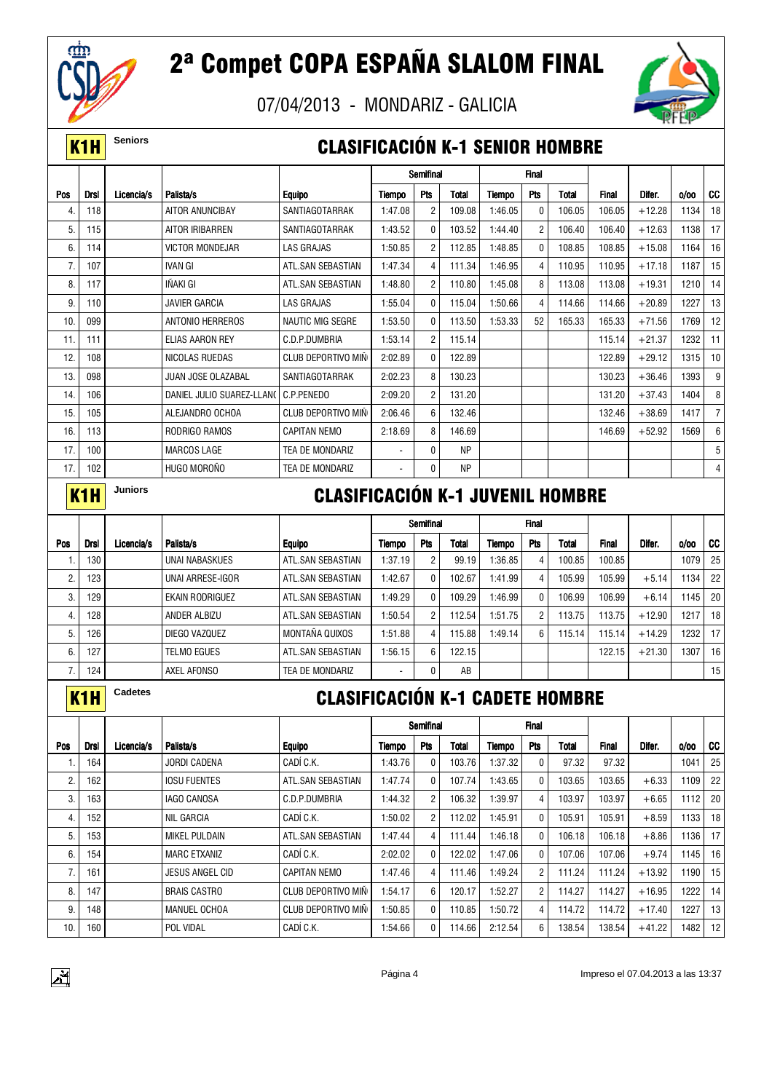

07/04/2013 - MONDARIZ - GALICIA



#### **K1H** Seniors **CLASIFICACIÓN K-1 SENIOR HOMBRE**

|     |                  |                |                           |                                         |         | Semifinal               |           |         | <b>Final</b>   |              |              |          |         |                |
|-----|------------------|----------------|---------------------------|-----------------------------------------|---------|-------------------------|-----------|---------|----------------|--------------|--------------|----------|---------|----------------|
| Pos | Drsl             | Licencia/s     | Palista/s                 | <b>Equipo</b>                           | Tiempo  | Pts                     | Total     | Tiempo  | Pts            | Total        | Final        | Difer.   | 0/00    | CC             |
| 4.  | 118              |                | AITOR ANUNCIBAY           | SANTIAGOTARRAK                          | 1:47.08 | $\overline{\mathbf{c}}$ | 109.08    | 1:46.05 | 0              | 106.05       | 106.05       | $+12.28$ | 1134    | 18             |
| 5.  | 115              |                | AITOR IRIBARREN           | SANTIAGOTARRAK                          | 1:43.52 | 0                       | 103.52    | 1:44.40 | $\overline{2}$ | 106.40       | 106.40       | $+12.63$ | 1138    | 17             |
| 6.  | 114              |                | <b>VICTOR MONDEJAR</b>    | LAS GRAJAS                              | 1:50.85 | $\overline{c}$          | 112.85    | 1:48.85 | 0              | 108.85       | 108.85       | $+15.08$ | 1164    | 16             |
| 7.  | 107              |                | <b>IVAN GI</b>            | ATL.SAN SEBASTIAN                       | 1:47.34 | 4                       | 111.34    | 1:46.95 | 4              | 110.95       | 110.95       | $+17.18$ | 1187    | 15             |
| 8.  | 117              |                | IÑAKI GI                  | ATL.SAN SEBASTIAN                       | 1:48.80 | $\overline{c}$          | 110.80    | 1:45.08 | 8              | 113.08       | 113.08       | $+19.31$ | 1210    | 14             |
| 9.  | 110              |                | <b>JAVIER GARCIA</b>      | LAS GRAJAS                              | 1:55.04 | 0                       | 115.04    | 1:50.66 | 4              | 114.66       | 114.66       | $+20.89$ | 1227    | 13             |
| 10. | 099              |                | ANTONIO HERREROS          | <b>NAUTIC MIG SEGRE</b>                 | 1:53.50 | 0                       | 113.50    | 1:53.33 | 52             | 165.33       | 165.33       | $+71.56$ | 1769    | 12             |
| 11. | 111              |                | ELIAS AARON REY           | C.D.P.DUMBRIA                           | 1:53.14 | $\overline{\mathbf{c}}$ | 115.14    |         |                |              | 115.14       | $+21.37$ | 1232    | 11             |
| 12. | 108              |                | NICOLAS RUEDAS            | <b>CLUB DEPORTIVO MIN</b>               | 2:02.89 | 0                       | 122.89    |         |                |              | 122.89       | $+29.12$ | 1315    | 10             |
| 13. | 098              |                | JUAN JOSE OLAZABAL        | SANTIAGOTARRAK                          | 2:02.23 | 8                       | 130.23    |         |                |              | 130.23       | $+36.46$ | 1393    | 9              |
| 14. | 106              |                | DANIEL JULIO SUAREZ-LLANO | C.P.PENEDO                              | 2:09.20 | $\overline{c}$          | 131.20    |         |                |              | 131.20       | $+37.43$ | 1404    | 8              |
| 15. | 105              |                | ALEJANDRO OCHOA           | <b>CLUB DEPORTIVO MIN</b>               | 2:06.46 | 6                       | 132.46    |         |                |              | 132.46       | $+38.69$ | 1417    | $\overline{7}$ |
| 16. | 113              |                | RODRIGO RAMOS             | <b>CAPITAN NEMO</b>                     | 2:18.69 | 8                       | 146.69    |         |                |              | 146.69       | $+52.92$ | 1569    | 6              |
| 17. | 100              |                | <b>MARCOS LAGE</b>        | TEA DE MONDARIZ                         |         | 0                       | <b>NP</b> |         |                |              |              |          |         | 5              |
| 17. | 102              |                | HUGO MOROÑO               | TEA DE MONDARIZ                         |         | 0                       | ΝP        |         |                |              |              |          |         | 4              |
|     |                  | Juniors        |                           |                                         |         |                         |           |         |                |              |              |          |         |                |
|     | K <sub>1</sub> H |                |                           | <b>CLASIFICACIÓN K-1 JUVENIL HOMBRE</b> |         |                         |           |         |                |              |              |          |         |                |
|     |                  |                |                           |                                         |         | Semifinal               |           |         | <b>Final</b>   |              |              |          |         |                |
| Pos | <b>Drsl</b>      | Licencia/s     | Palista/s                 | <b>Equipo</b>                           | Tiempo  | Pts                     | Total     | Tiempo  | Pts            | <b>Total</b> | <b>Final</b> | Difer.   | 0/00    | CC             |
| 1.  | 130              |                | <b>UNAI NABASKUES</b>     | ATL.SAN SEBASTIAN                       | 1:37.19 | $\overline{c}$          | 99.19     | 1:36.85 | 4              | 100.85       | 100.85       |          | 1079    | 25             |
| 2.  | 123              |                | UNAI ARRESE-IGOR          | ATL.SAN SEBASTIAN                       | 1:42.67 | 0                       | 102.67    | 1:41.99 | 4              | 105.99       | 105.99       | $+5.14$  | 1134    | 22             |
| 3.  | 129              |                | EKAIN RODRIGUEZ           | ATL.SAN SEBASTIAN                       | 1:49.29 | 0                       | 109.29    | 1:46.99 | 0              | 106.99       | 106.99       | $+6.14$  | 1145    | 20             |
| 4.  | 128              |                | ANDER ALBIZU              | ATL.SAN SEBASTIAN                       | 1:50.54 | $\overline{c}$          | 112.54    | 1:51.75 | $\overline{2}$ | 113.75       | 113.75       | $+12.90$ | 1217    | 18             |
| 5.  | 126              |                | DIEGO VAZQUEZ             | MONTAÑA QUIXOS                          | 1:51.88 | 4                       | 115.88    | 1:49.14 | 6              | 115.14       | 115.14       | $+14.29$ | 1232    | 17             |
| 6.  | 127              |                | telmo egues               | ATL.SAN SEBASTIAN                       | 1:56.15 | 6                       | 122.15    |         |                |              | 122.15       | $+21.30$ | 1307    | 16             |
| 7.  | 124              |                | AXEL AFONSO               | TEA DE MONDARIZ                         |         | 0                       | AB        |         |                |              |              |          |         | 15             |
|     | K <sub>1</sub> H | <b>Cadetes</b> |                           | <b>CLASIFICACIÓN K-1 CADETE HOMBRE</b>  |         |                         |           |         |                |              |              |          |         |                |
|     |                  |                |                           |                                         |         |                         |           |         |                |              |              |          |         |                |
|     |                  |                |                           |                                         |         | Semifinal               |           |         | <b>Final</b>   |              |              |          |         |                |
| Pos | Drsl             | Licencia/s     | Palista/s                 | <b>Equipo</b>                           | Tiempo  | Pts                     | Total     | Tiempo  | Pts            | Total        | Final        | Difer.   | 0/00    | CC             |
| 1.  | 164              |                | <b>JORDI CADENA</b>       | CADÍ C.K.                               | 1:43.76 | 0                       | 103.76    | 1:37.32 | 0              | 97.32        | 97.32        |          | 1041    | 25             |
| 2.  | 162              |                | <b>IOSU FUENTES</b>       | ATL.SAN SEBASTIAN                       | 1:47.74 | 0                       | 107.74    | 1:43.65 | 0              | 103.65       | 103.65       | $+6.33$  | 1109    | 22             |
| 3.  | 163              |                | IAGO CANOSA               | C.D.P.DUMBRIA                           | 1:44.32 | $\overline{c}$          | 106.32    | 1:39.97 | 4              | 103.97       | 103.97       | $+6.65$  | 1112    | 20             |
| 4.  | 152              |                | NIL GARCIA                | CADÍ C.K.                               | 1:50.02 | $\overline{c}$          | 112.02    | 1:45.91 | 0              | 105.91       | 105.91       | $+8.59$  | 1133    | 18             |
| 5.  | 153              |                | MIKEL PULDAIN             | ATL.SAN SEBASTIAN                       | 1:47.44 | 4                       | 111.44    | 1:46.18 | 0              | 106.18       | 106.18       | $+8.86$  | 1136    | 17             |
| 6.  | 154              |                | <b>MARC ETXANIZ</b>       | CADÍ C.K.                               | 2:02.02 | 0                       | 122.02    | 1:47.06 | 0              | 107.06       | 107.06       | $+9.74$  | 1145    | 16             |
| 7.  | 161              |                | JESUS ANGEL CID           | <b>CAPITAN NEMO</b>                     | 1:47.46 | 4                       | 111.46    | 1:49.24 | 2              | 111.24       | 111.24       | $+13.92$ | 1190    | 15             |
| 8.  | 147              |                | <b>BRAIS CASTRO</b>       | CLUB DEPORTIVO MIÑ                      | 1:54.17 | 6                       | 120.17    | 1:52.27 | $\overline{2}$ | 114.27       | 114.27       | $+16.95$ | 1222    | 14             |
| 9.  | 148              |                | MANUEL OCHOA              | CLUB DEPORTIVO MIÑ                      | 1:50.85 | 0                       | 110.85    | 1:50.72 | 4              | 114.72       | 114.72       | $+17.40$ | 1227 13 |                |





10.|160| |POL VIDAL |CADI C.K. |1:54.66| 0| 114.66| 2:12.54| 6| 138.54| 138.54| +41.22| 1482| 12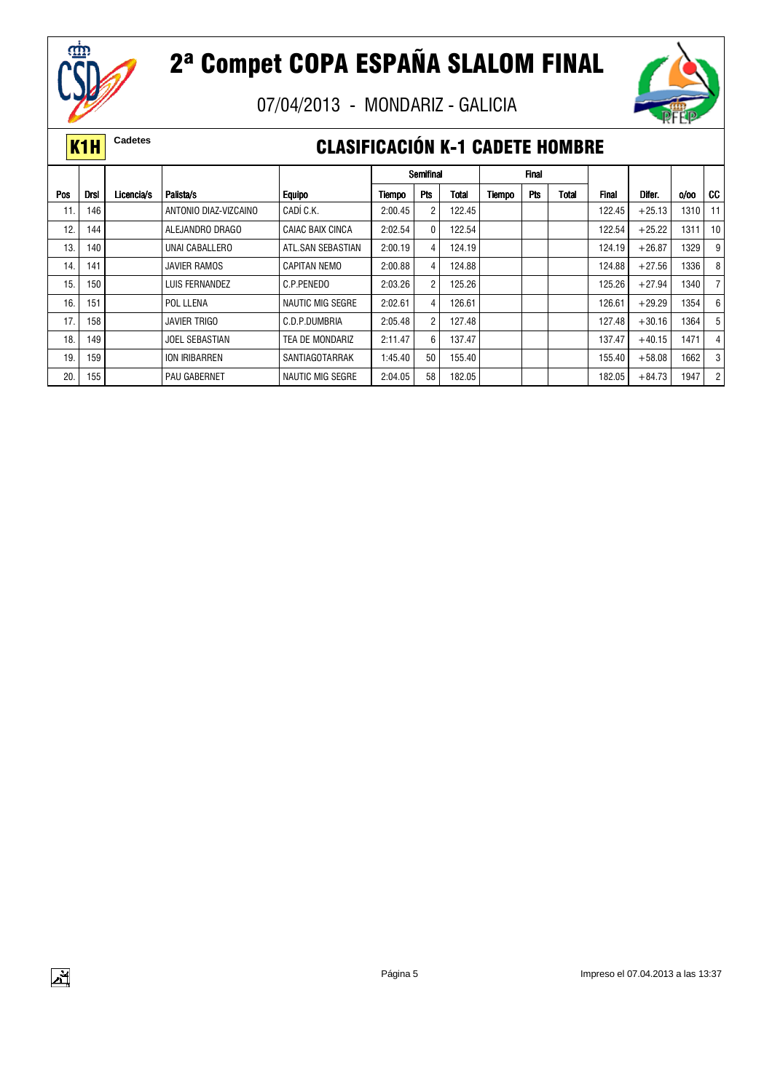

 $\mathbf{y}^{\prime}$ 

## 2ª Compet COPA ESPAÑA SLALOM FINAL

07/04/2013 - MONDARIZ - GALICIA



#### **K1H** Cadetes **CLASIFICACIÓN K-1 CADETE HOMBRE**

|     |             |            |                       |                         |         | Semifinal      |        |               | <b>Final</b> |       |              |          |      |                |
|-----|-------------|------------|-----------------------|-------------------------|---------|----------------|--------|---------------|--------------|-------|--------------|----------|------|----------------|
| Pos | <b>Drsl</b> | Licencia/s | Palista/s             | <b>Equipo</b>           | Tiempo  | Pts            | Total  | <b>Tiempo</b> | <b>Pts</b>   | Total | <b>Final</b> | Difer.   | 0/00 | CC             |
| 11. | 146         |            | ANTONIO DIAZ-VIZCAINO | CADÍ C.K.               | 2:00.45 | $\overline{c}$ | 122.45 |               |              |       | 122.45       | $+25.13$ | 1310 | 11             |
| 12. | 144         |            | ALEJANDRO DRAGO       | CAIAC BAIX CINCA        | 2:02.54 | 0              | 122.54 |               |              |       | 122.54       | $+25.22$ | 1311 | 10             |
| 13. | 140         |            | UNAI CABALLERO        | ATL.SAN SEBASTIAN       | 2:00.19 | 4              | 124.19 |               |              |       | 124.19       | $+26.87$ | 1329 | 9              |
| 14. | 141         |            | JAVIER RAMOS          | <b>CAPITAN NEMO</b>     | 2:00.88 | 4              | 124.88 |               |              |       | 124.88       | $+27.56$ | 1336 | 8              |
| 15. | 150         |            | LUIS FERNANDEZ        | C.P.PENEDO              | 2:03.26 | $\overline{c}$ | 125.26 |               |              |       | 125.26       | $+27.94$ | 1340 |                |
| 16. | 151         |            | POL LLENA             | <b>NAUTIC MIG SEGRE</b> | 2:02.61 | 4              | 126.61 |               |              |       | 126.61       | $+29.29$ | 1354 | 6              |
| 17. | 158         |            | <b>JAVIER TRIGO</b>   | C.D.P.DUMBRIA           | 2:05.48 | $\overline{2}$ | 127.48 |               |              |       | 127.48       | $+30.16$ | 1364 | 5              |
| 18. | 149         |            | <b>JOEL SEBASTIAN</b> | TEA DE MONDARIZ         | 2:11.47 | 6              | 137.47 |               |              |       | 137.47       | $+40.15$ | 1471 | 4              |
| 19  | 159         |            | ION IRIBARREN         | SANTIAGOTARRAK          | 1:45.40 | 50             | 155.40 |               |              |       | 155.40       | $+58.08$ | 1662 | 3              |
| 20  | 155         |            | <b>PAU GABERNET</b>   | NAUTIC MIG SEGRE        | 2:04.05 | 58             | 182.05 |               |              |       | 182.05       | $+84.73$ | 1947 | $\overline{2}$ |

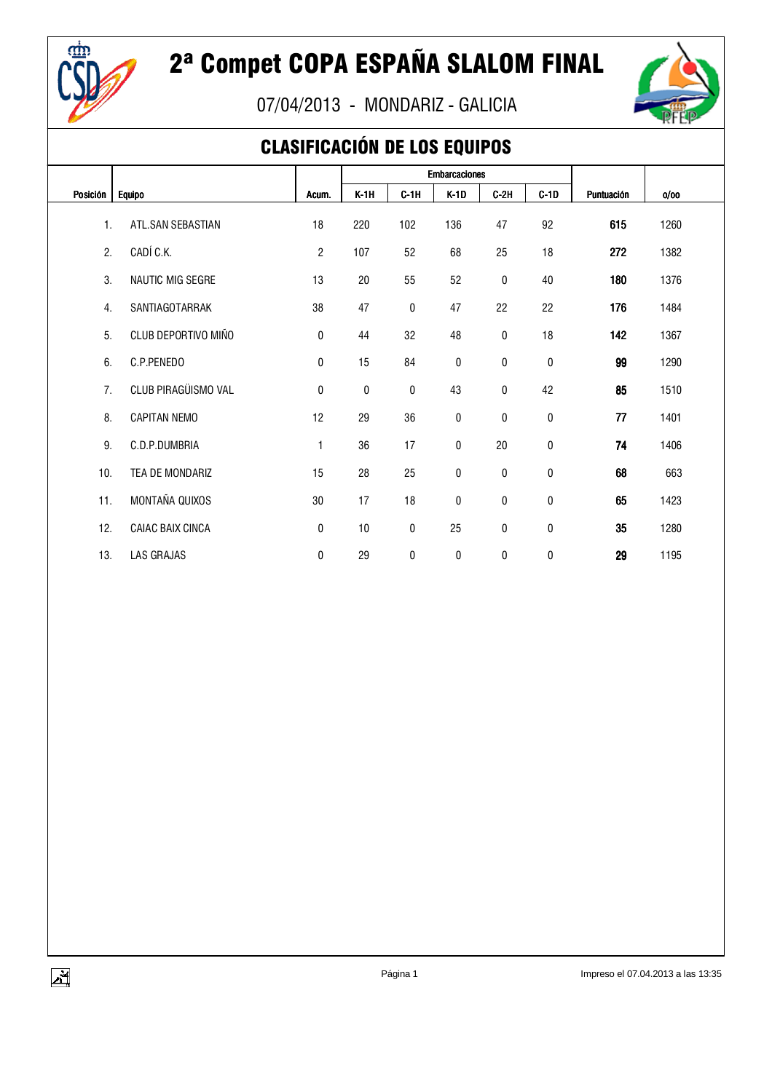

07/04/2013 - MONDARIZ - GALICIA



### CLASIFICACIÓN DE LOS EQUIPOS

|          |                     |                |        |        | <b>Embarcaciones</b> |           |           |            |      |  |
|----------|---------------------|----------------|--------|--------|----------------------|-----------|-----------|------------|------|--|
| Posición | <b>Equipo</b>       | Acum.          | $K-1H$ | $C-1H$ | $K-1D$               | $C-2H$    | $C-1D$    | Puntuación | 0/00 |  |
| 1.       | ATL.SAN SEBASTIAN   | 18             | 220    | 102    | 136                  | 47        | 92        | 615        | 1260 |  |
| 2.       | CADÍ C.K.           | $\overline{2}$ | 107    | 52     | 68                   | 25        | 18        | 272        | 1382 |  |
| 3.       | NAUTIC MIG SEGRE    | 13             | 20     | 55     | 52                   | 0         | 40        | 180        | 1376 |  |
| 4.       | SANTIAGOTARRAK      | 38             | 47     | 0      | 47                   | 22        | 22        | 176        | 1484 |  |
| 5.       | CLUB DEPORTIVO MIÑO | 0              | 44     | 32     | 48                   | 0         | 18        | 142        | 1367 |  |
| 6.       | C.P.PENEDO          | 0              | 15     | 84     | 0                    | $\pmb{0}$ | 0         | 99         | 1290 |  |
| 7.       | CLUB PIRAGÜISMO VAL | $\pmb{0}$      | 0      | 0      | 43                   | $\pmb{0}$ | 42        | 85         | 1510 |  |
| 8.       | <b>CAPITAN NEMO</b> | 12             | 29     | 36     | $\pmb{0}$            | 0         | 0         | 77         | 1401 |  |
| 9.       | C.D.P.DUMBRIA       | $\mathbf{1}$   | 36     | 17     | $\pmb{0}$            | 20        | $\pmb{0}$ | 74         | 1406 |  |
| 10.      | TEA DE MONDARIZ     | 15             | 28     | 25     | $\pmb{0}$            | $\pmb{0}$ | $\pmb{0}$ | 68         | 663  |  |
| 11.      | MONTAÑA QUIXOS      | 30             | 17     | 18     | 0                    | $\pmb{0}$ | 0         | 65         | 1423 |  |
| 12.      | CAIAC BAIX CINCA    | 0              | 10     | 0      | 25                   | $\pmb{0}$ | $\pmb{0}$ | 35         | 1280 |  |
| 13.      | LAS GRAJAS          | 0              | 29     | 0      | 0                    | 0         | 0         | 29         | 1195 |  |

 $\sum_{i=1}^{N}$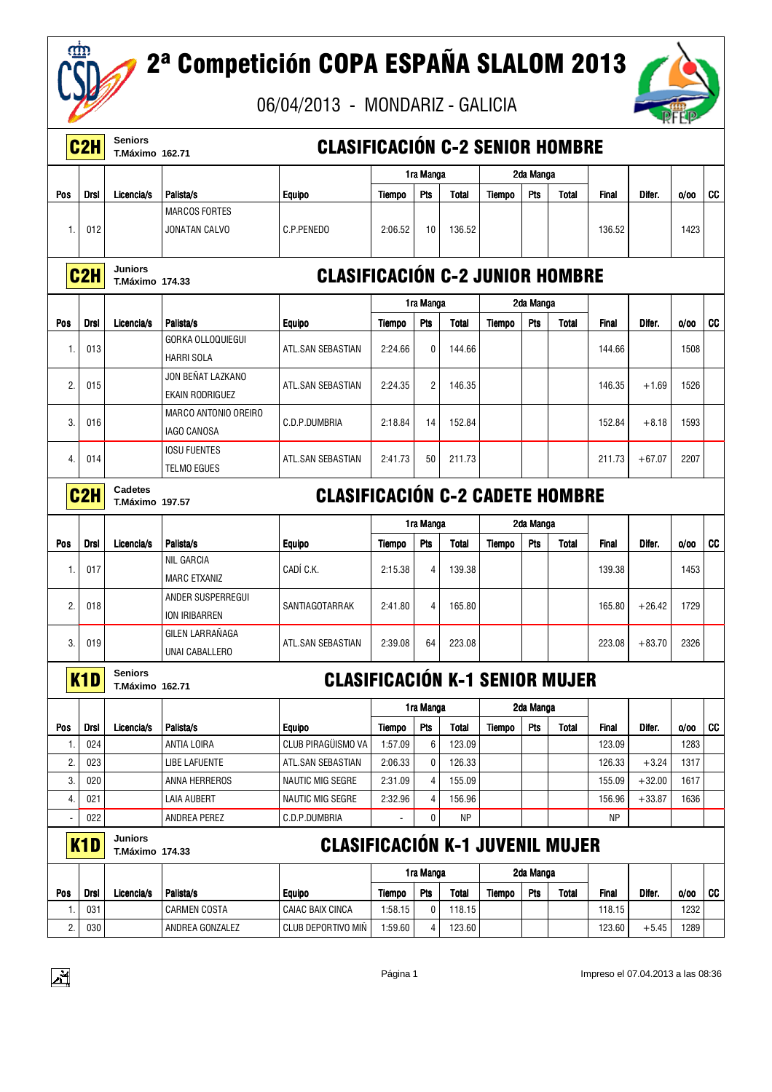

## 2ª Competición COPA ESPAÑA SLALOM 2013



|     | C <sub>2</sub> H | <b>Seniors</b><br><b>T.Máximo 162.71</b> |                                               | <b>CLASIFICACIÓN C-2 SENIOR HOMBRE</b> |               |                |              |               |            |              |              |          |      |           |
|-----|------------------|------------------------------------------|-----------------------------------------------|----------------------------------------|---------------|----------------|--------------|---------------|------------|--------------|--------------|----------|------|-----------|
|     |                  |                                          |                                               |                                        |               | 1ra Manga      |              |               | 2da Manga  |              |              |          |      |           |
| Pos | <b>Drsl</b>      | Licencia/s                               | Palista/s                                     | <b>Equipo</b>                          | Tiempo        | Pts            | <b>Total</b> | Tiempo        | Pts        | <b>Total</b> | <b>Final</b> | Difer.   | 0/00 | <b>CC</b> |
|     |                  |                                          | <b>MARCOS FORTES</b>                          |                                        |               |                |              |               |            |              |              |          |      |           |
| 1.  | 012              |                                          | JONATAN CALVO                                 | C.P.PENEDO                             | 2:06.52       | 10             | 136.52       |               |            |              | 136.52       |          | 1423 |           |
|     |                  |                                          |                                               |                                        |               |                |              |               |            |              |              |          |      |           |
|     | C <sub>2</sub> H | <b>Juniors</b><br><b>T.Máximo 174.33</b> |                                               | <b>CLASIFICACIÓN C-2 JUNIOR HOMBRE</b> |               |                |              |               |            |              |              |          |      |           |
|     |                  |                                          |                                               |                                        |               | 1ra Manga      |              |               | 2da Manga  |              |              |          |      |           |
| Pos | <b>Drsl</b>      | Licencia/s                               | Palista/s                                     | <b>Equipo</b>                          | Tiempo        | Pts            | <b>Total</b> | Tiempo        | Pts        | <b>Total</b> | <b>Final</b> | Difer.   | 0/00 | <b>CC</b> |
| 1.  | 013              |                                          | <b>GORKA OLLOQUIEGUI</b><br><b>HARRI SOLA</b> | ATL.SAN SEBASTIAN                      | 2:24.66       | $\mathbf{0}$   | 144.66       |               |            |              | 144.66       |          | 1508 |           |
|     |                  |                                          | JON BEÑAT LAZKANO                             |                                        |               |                |              |               |            |              |              |          |      |           |
| 2.  | 015              |                                          | EKAIN RODRIGUEZ                               | ATL.SAN SEBASTIAN                      | 2:24.35       | $\overline{c}$ | 146.35       |               |            |              | 146.35       | $+1.69$  | 1526 |           |
| 3.  | 016              |                                          | <b>MARCO ANTONIO OREIRO</b>                   | C.D.P.DUMBRIA                          | 2:18.84       | 14             | 152.84       |               |            |              | 152.84       | $+8.18$  | 1593 |           |
|     |                  |                                          | <b>IAGO CANOSA</b>                            |                                        |               |                |              |               |            |              |              |          |      |           |
| 4.  | 014              |                                          | <b>IOSU FUENTES</b>                           | ATL.SAN SEBASTIAN                      | 2:41.73       | 50             | 211.73       |               |            |              | 211.73       | $+67.07$ | 2207 |           |
|     |                  |                                          | <b>TELMO EGUES</b>                            |                                        |               |                |              |               |            |              |              |          |      |           |
|     | C <sub>2</sub> H | Cadetes<br><b>T.Máximo 197.57</b>        |                                               | <b>CLASIFICACIÓN C-2 CADETE HOMBRE</b> |               |                |              |               |            |              |              |          |      |           |
|     |                  |                                          |                                               |                                        |               | 1ra Manga      |              |               | 2da Manga  |              |              |          |      |           |
| Pos | Drsl             | Licencia/s                               | Palista/s                                     | <b>Equipo</b>                          | <b>Tiempo</b> | Pts            | <b>Total</b> | Tiempo        | <b>Pts</b> | <b>Total</b> | <b>Final</b> | Difer.   | 0/00 | CC        |
| 1.  | 017              |                                          | NIL GARCIA<br><b>MARC ETXANIZ</b>             | CADÍ C.K.                              | 2:15.38       | $\overline{4}$ | 139.38       |               |            |              | 139.38       |          | 1453 |           |
| 2.  | 018              |                                          | ANDER SUSPERREGUI                             | SANTIAGOTARRAK                         | 2:41.80       | $\overline{4}$ | 165.80       |               |            |              | 165.80       | $+26.42$ | 1729 |           |
|     |                  |                                          | ION IRIBARREN                                 |                                        |               |                |              |               |            |              |              |          |      |           |
| 3.  | 019              |                                          | GILEN LARRAÑAGA                               | ATL.SAN SEBASTIAN                      | 2:39.08       | 64             | 223.08       |               |            |              | 223.08       | $+83.70$ | 2326 |           |
|     |                  |                                          | UNAI CABALLERO                                |                                        |               |                |              |               |            |              |              |          |      |           |
|     | K1D              | <b>Seniors</b><br><b>T.Máximo 162.71</b> |                                               | <b>CLASIFICACIÓN K-1 SENIOR MUJER</b>  |               |                |              |               |            |              |              |          |      |           |
|     |                  |                                          |                                               |                                        |               | 1ra Manga      |              |               | 2da Manga  |              |              |          |      |           |
| Pos | <b>Drsl</b>      | Licencia/s                               | Palista/s                                     | <b>Equipo</b>                          | <b>Tiempo</b> | Pts            | Total        | Tiempo        | <b>Pts</b> | Total        | <b>Final</b> | Difer.   | 0/00 | <b>CC</b> |
| 1.  | 024              |                                          | ANTIA LOIRA                                   | CLUB PIRAGÜISMO VA                     | 1:57.09       | 6              | 123.09       |               |            |              | 123.09       |          | 1283 |           |
| 2.  | 023              |                                          | <b>LIBE LAFUENTE</b>                          | ATL.SAN SEBASTIAN                      | 2:06.33       | 0              | 126.33       |               |            |              | 126.33       | $+3.24$  | 1317 |           |
| 3.  | 020              |                                          | ANNA HERREROS                                 | <b>NAUTIC MIG SEGRE</b>                | 2:31.09       | $\overline{4}$ | 155.09       |               |            |              | 155.09       | $+32.00$ | 1617 |           |
| 4.  | 021              |                                          | <b>LAIA AUBERT</b>                            | NAUTIC MIG SEGRE                       | 2:32.96       | 4              | 156.96       |               |            |              | 156.96       | $+33.87$ | 1636 |           |
|     | 022              |                                          | ANDREA PEREZ                                  | C.D.P.DUMBRIA                          |               | 0              | NP           |               |            |              | ΝP           |          |      |           |
|     | K1D              | <b>Juniors</b><br><b>T.Máximo 174.33</b> |                                               | <b>CLASIFICACIÓN K-1 JUVENIL MUJER</b> |               |                |              |               |            |              |              |          |      |           |
|     |                  |                                          |                                               |                                        |               | 1ra Manga      |              |               | 2da Manga  |              |              |          |      |           |
| Pos | <b>Drsl</b>      | Licencia/s                               | Palista/s                                     | <b>Equipo</b>                          | <b>Tiempo</b> | Pts            | <b>Total</b> | <b>Tiempo</b> | Pts        | Total        | <b>Final</b> | Difer.   | 0/00 | <b>CC</b> |
| 1.  | 031              |                                          | <b>CARMEN COSTA</b>                           | CAIAC BAIX CINCA                       | 1:58.15       | 0              | 118.15       |               |            |              | 118.15       |          | 1232 |           |
| 2.  | 030              |                                          | ANDREA GONZALEZ                               | CLUB DEPORTIVO MIÑ                     | 1:59.60       | 4              | 123.60       |               |            |              | 123.60       | $+5.45$  | 1289 |           |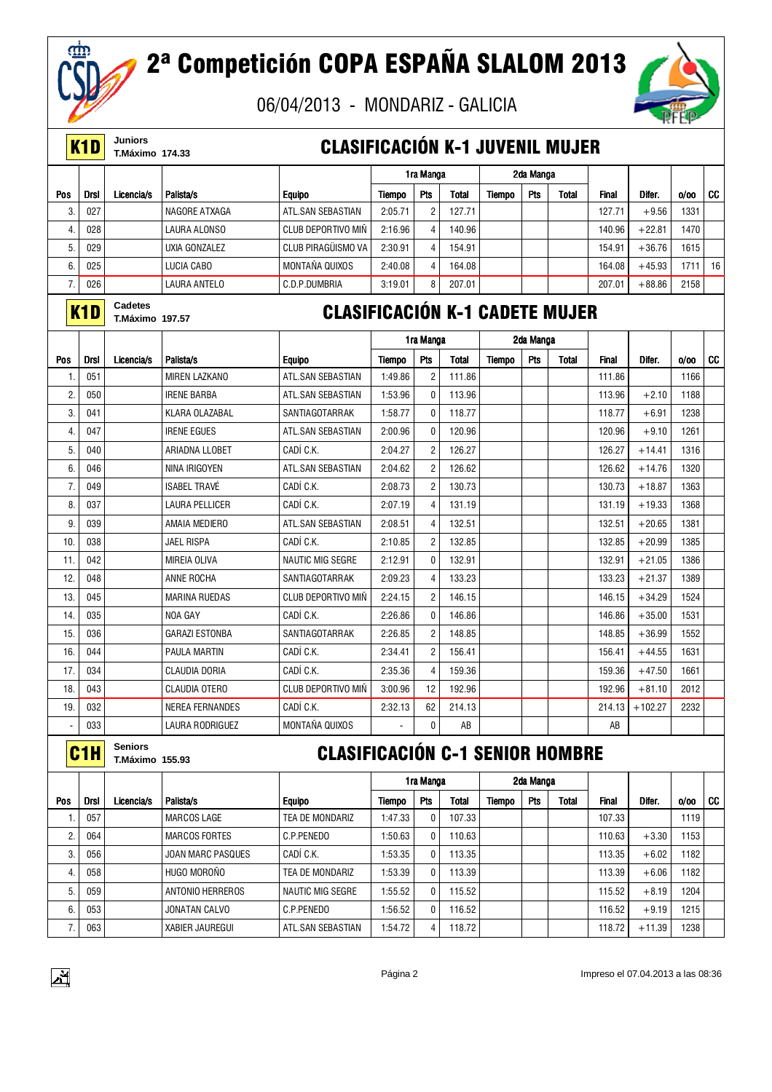

# 2ª Competición COPA ESPAÑA SLALOM 2013

06/04/2013 - MONDARIZ - GALICIA



|     | K <sub>1</sub> D | Juniors<br><b>T.Máximo 174.33</b>        |                          | <b>CLASIFICACIÓN K-1 JUVENIL MUJER</b> |               |                |              |        |           |       |              |                   |      |    |
|-----|------------------|------------------------------------------|--------------------------|----------------------------------------|---------------|----------------|--------------|--------|-----------|-------|--------------|-------------------|------|----|
|     |                  |                                          |                          |                                        |               | 1ra Manga      |              |        | 2da Manga |       |              |                   |      |    |
| Pos | Drsl             | Licencia/s                               | Palista/s                | <b>Equipo</b>                          | Tiempo        | Pts            | Total        | Tiempo | Pts       | Total | <b>Final</b> | Difer.            | 0/00 | CC |
| 3.  | 027              |                                          | NAGORE ATXAGA            | ATL.SAN SEBASTIAN                      | 2:05.71       | $\overline{c}$ | 127.71       |        |           |       | 127.71       | $+9.56$           | 1331 |    |
| 4.  | 028              |                                          | LAURA ALONSO             | <b>CLUB DEPORTIVO MIN</b>              | 2:16.96       | 4              | 140.96       |        |           |       | 140.96       | $+22.81$          | 1470 |    |
| 5.  | 029              |                                          | UXIA GONZALEZ            | CLUB PIRAGÜISMO VA                     | 2:30.91       | 4              | 154.91       |        |           |       | 154.91       | $+36.76$          | 1615 |    |
| 6.  | 025              |                                          | <b>LUCIA CABO</b>        | MONTAÑA QUIXOS                         | 2:40.08       | $\overline{4}$ | 164.08       |        |           |       | 164.08       | $+45.93$          | 1711 | 16 |
| 7.  | 026              |                                          | <b>LAURA ANTELO</b>      | C.D.P.DUMBRIA                          | 3:19.01       | 8              | 207.01       |        |           |       | 207.01       | $+88.86$          | 2158 |    |
|     | K1D              | Cadetes<br><b>T.Máximo 197.57</b>        |                          | <b>CLASIFICACIÓN K-1 CADETE MUJER</b>  |               |                |              |        |           |       |              |                   |      |    |
|     |                  |                                          |                          |                                        |               | 1ra Manga      |              |        | 2da Manga |       |              |                   |      |    |
| Pos | Drsl             | Licencia/s                               | Palista/s                | <b>Equipo</b>                          | <b>Tiempo</b> | <b>Pts</b>     | <b>Total</b> | Tiempo | Pts       | Total | <b>Final</b> | Difer.            | 0/00 | CC |
| 1.  | 051              |                                          | <b>MIREN LAZKANO</b>     | ATL.SAN SEBASTIAN                      | 1:49.86       | $\overline{2}$ | 111.86       |        |           |       | 111.86       |                   | 1166 |    |
| 2.  | 050              |                                          | <b>IRENE BARBA</b>       | ATL.SAN SEBASTIAN                      | 1:53.96       | 0              | 113.96       |        |           |       | 113.96       | $+2.10$           | 1188 |    |
| 3.  | 041              |                                          | KLARA OLAZABAL           | SANTIAGOTARRAK                         | 1:58.77       | $\mathbf{0}$   | 118.77       |        |           |       | 118.77       | $+6.91$           | 1238 |    |
| 4.  | 047              |                                          | <b>IRENE EGUES</b>       | ATL.SAN SEBASTIAN                      | 2:00.96       | $\mathbf{0}$   | 120.96       |        |           |       | 120.96       | $+9.10$           | 1261 |    |
| 5.  | 040              |                                          | ARIADNA LLOBET           | CADÍ C.K.                              | 2:04.27       | $\overline{2}$ | 126.27       |        |           |       | 126.27       | $+14.41$          | 1316 |    |
| 6.  | 046              |                                          | NINA IRIGOYEN            | ATL.SAN SEBASTIAN                      | 2:04.62       | $\overline{2}$ | 126.62       |        |           |       | 126.62       | $+14.76$          | 1320 |    |
| 7.  | 049              |                                          | <b>ISABEL TRAVE</b>      | CADÍ C.K.                              | 2:08.73       | $\overline{2}$ | 130.73       |        |           |       | 130.73       | $+18.87$          | 1363 |    |
| 8.  | 037              |                                          | <b>LAURA PELLICER</b>    | CADÍ C.K.                              | 2:07.19       | 4              | 131.19       |        |           |       | 131.19       | $+19.33$          | 1368 |    |
| 9   | 039              |                                          | AMAIA MEDIERO            | ATL.SAN SEBASTIAN                      | 2:08.51       | 4              | 132.51       |        |           |       | 132.51       | $+20.65$          | 1381 |    |
| 10. | 038              |                                          | <b>JAEL RISPA</b>        | CADÍ C.K.                              | 2:10.85       | $\overline{2}$ | 132.85       |        |           |       | 132.85       | $+20.99$          | 1385 |    |
| 11. | 042              |                                          | MIREIA OLIVA             | <b>NAUTIC MIG SEGRE</b>                | 2:12.91       | $\mathbf{0}$   | 132.91       |        |           |       | 132.91       | $+21.05$          | 1386 |    |
| 12. | 048              |                                          | ANNE ROCHA               | SANTIAGOTARRAK                         | 2:09.23       | $\overline{4}$ | 133.23       |        |           |       | 133.23       | $+21.37$          | 1389 |    |
| 13. | 045              |                                          | <b>MARINA RUEDAS</b>     | <b>CLUB DEPORTIVO MIN</b>              | 2:24.15       | $\overline{2}$ | 146.15       |        |           |       | 146.15       | $+34.29$          | 1524 |    |
| 14. | 035              |                                          | NOA GAY                  | CADÍ C.K.                              | 2:26.86       | $\mathbf{0}$   | 146.86       |        |           |       | 146.86       | $+35.00$          | 1531 |    |
| 15. | 036              |                                          | <b>GARAZI ESTONBA</b>    | SANTIAGOTARRAK                         | 2:26.85       | $\overline{2}$ | 148.85       |        |           |       | 148.85       | $+36.99$          | 1552 |    |
| 16. | 044              |                                          | <b>PAULA MARTIN</b>      | CADÍ C.K.                              | 2:34.41       | $\overline{2}$ | 156.41       |        |           |       | 156.41       | $+44.55$          | 1631 |    |
| 17. | 034              |                                          | CLAUDIA DORIA            | CADÍ C.K.                              | 2:35.36       | $\overline{4}$ | 159.36       |        |           |       | 159.36       | $+47.50$          | 1661 |    |
| 18. | 043              |                                          | CLAUDIA OTERO            | CLUB DEPORTIVO MIÑ                     | 3:00.96       | 12             | 192.96       |        |           |       | 192.96       | $+81.10$          | 2012 |    |
| 19. | 032              |                                          | NEREA FERNANDES          | CADI C.K.                              | 2:32.13       | 62             | 214.13       |        |           |       |              | $214.13 + 102.27$ | 2232 |    |
|     | 033              |                                          | LAURA RODRIGUEZ          | MONTAÑA QUIXOS                         |               | 0              | AB           |        |           |       | AB           |                   |      |    |
|     | C <sub>1</sub> H | <b>Seniors</b><br><b>T.Máximo 155.93</b> |                          | <b>CLASIFICACIÓN C-1 SENIOR HOMBRE</b> |               |                |              |        |           |       |              |                   |      |    |
|     |                  |                                          |                          |                                        |               | 1ra Manga      |              |        | 2da Manga |       |              |                   |      |    |
| Pos | Drsl             | Licencia/s                               | Palista/s                | <b>Equipo</b>                          | Tiempo        | Pts            | <b>Total</b> | Tiempo | Pts       | Total | <b>Final</b> | Difer.            | 0/00 | CC |
| 1.  | 057              |                                          | <b>MARCOS LAGE</b>       | TEA DE MONDARIZ                        | 1:47.33       | $\bf{0}$       | 107.33       |        |           |       | 107.33       |                   | 1119 |    |
| 2.  | 064              |                                          | <b>MARCOS FORTES</b>     | C.P.PENEDO                             | 1:50.63       | 0              | 110.63       |        |           |       | 110.63       | $+3.30$           | 1153 |    |
| 3.  | 056              |                                          | <b>JOAN MARC PASQUES</b> | CADÍ C.K.                              | 1:53.35       | 0              | 113.35       |        |           |       | 113.35       | $+6.02$           | 1182 |    |
| 4.  | 058              |                                          | HUGO MOROÑO              | TEA DE MONDARIZ                        | 1:53.39       | $\bf{0}$       | 113.39       |        |           |       | 113.39       | $+6.06$           | 1182 |    |
| 5.  | 059              |                                          | ANTONIO HERREROS         | <b>NAUTIC MIG SEGRE</b>                | 1:55.52       | $\bf{0}$       | 115.52       |        |           |       | 115.52       | $+8.19$           | 1204 |    |
| 6.  | 053              |                                          | JONATAN CALVO            | C.P.PENEDO                             | 1:56.52       | 0              | 116.52       |        |           |       | 116.52       | $+9.19$           | 1215 |    |



7. 063 XABIER JAUREGUI ATL.SAN SEBASTIAN 1:54.72 4 118.72 118.72 118.72 +11.39 1238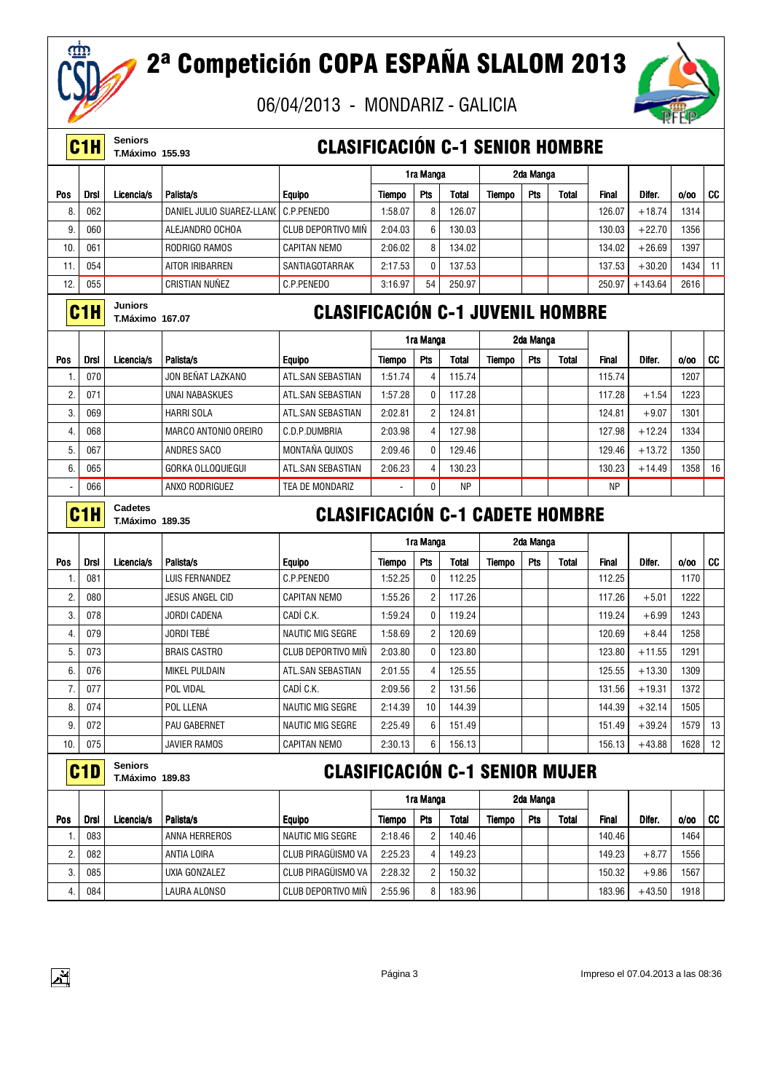

 $\mathbf{F}$ 

# 2ª Competición COPA ESPAÑA SLALOM 2013



|                 | C <sub>1</sub> H | <b>Seniors</b><br>T.Máximo 155.93        |                             | <b>CLASIFICACIÓN C-1 SENIOR HOMBRE</b>  |               |                |              |               |           |              |              |           |      |    |
|-----------------|------------------|------------------------------------------|-----------------------------|-----------------------------------------|---------------|----------------|--------------|---------------|-----------|--------------|--------------|-----------|------|----|
|                 |                  |                                          |                             |                                         |               | 1ra Manga      |              |               | 2da Manga |              |              |           |      |    |
| <b>Pos</b>      | <b>Drsl</b>      | Licencia/s                               | Palista/s                   | <b>Equipo</b>                           | Tiempo        | Pts            | <b>Total</b> | <b>Tiempo</b> | Pts       | <b>Total</b> | <b>Final</b> | Difer.    | 0/00 | CC |
| 8               | 062              |                                          | DANIEL JULIO SUAREZ-LLANO   | C.P.PENEDO                              | 1:58.07       | 8              | 126.07       |               |           |              | 126.07       | $+18.74$  | 1314 |    |
| 9               | 060              |                                          | ALEJANDRO OCHOA             | <b>CLUB DEPORTIVO MIN</b>               | 2:04.03       | 6              | 130.03       |               |           |              | 130.03       | $+22.70$  | 1356 |    |
| 10 <sub>1</sub> | 061              |                                          | RODRIGO RAMOS               | <b>CAPITAN NEMO</b>                     | 2:06.02       | 8              | 134.02       |               |           |              | 134.02       | $+26.69$  | 1397 |    |
| 11.             | 054              |                                          | AITOR IRIBARREN             | SANTIAGOTARRAK                          | 2:17.53       | $\mathbf{0}$   | 137.53       |               |           |              | 137.53       | $+30.20$  | 1434 | 11 |
| 12.             | 055              |                                          | <b>CRISTIAN NUÑEZ</b>       | C.P.PENEDO                              | 3:16.97       | 54             | 250.97       |               |           |              | 250.97       | $+143.64$ | 2616 |    |
|                 | C1H              | Juniors<br><b>T.Máximo 167.07</b>        |                             | <b>CLASIFICACIÓN C-1 JUVENIL HOMBRE</b> |               |                |              |               |           |              |              |           |      |    |
|                 |                  |                                          |                             |                                         |               | 1ra Manga      |              |               | 2da Manga |              |              |           |      |    |
| <b>Pos</b>      | Drsl             | Licencia/s                               | Palista/s                   | Equipo                                  | <b>Tiempo</b> | Pts            | <b>Total</b> | Tiempo        | Pts       | <b>Total</b> | <b>Final</b> | Difer.    | 0/00 | CC |
| 1.              | 070              |                                          | JON BEÑAT LAZKANO           | ATL.SAN SEBASTIAN                       | 1:51.74       | 4              | 115.74       |               |           |              | 115.74       |           | 1207 |    |
| 2.              | 071              |                                          | <b>UNAI NABASKUES</b>       | ATL.SAN SEBASTIAN                       | 1:57.28       | 0              | 117.28       |               |           |              | 117.28       | $+1.54$   | 1223 |    |
| 3.              | 069              |                                          | <b>HARRI SOLA</b>           | ATL.SAN SEBASTIAN                       | 2:02.81       | $\overline{2}$ | 124.81       |               |           |              | 124.81       | $+9.07$   | 1301 |    |
| 4.              | 068              |                                          | <b>MARCO ANTONIO OREIRO</b> | C.D.P.DUMBRIA                           | 2:03.98       | 4              | 127.98       |               |           |              | 127.98       | $+12.24$  | 1334 |    |
| 5.              | 067              |                                          | <b>ANDRES SACO</b>          | MONTAÑA QUIXOS                          | 2:09.46       | 0              | 129.46       |               |           |              | 129.46       | $+13.72$  | 1350 |    |
| 6.              | 065              |                                          | <b>GORKA OLLOQUIEGUI</b>    | ATL.SAN SEBASTIAN                       | 2:06.23       | 4              | 130.23       |               |           |              | 130.23       | $+14.49$  | 1358 | 16 |
|                 | 066              |                                          | ANXO RODRIGUEZ              | TEA DE MONDARIZ                         |               | 0              | <b>NP</b>    |               |           |              | <b>NP</b>    |           |      |    |
|                 | C1H              | Cadetes<br><b>T.Máximo 189.35</b>        |                             | <b>CLASIFICACIÓN C-1 CADETE HOMBRE</b>  |               |                |              |               |           |              |              |           |      |    |
|                 |                  |                                          |                             |                                         |               | 1ra Manga      |              |               | 2da Manga |              |              |           |      |    |
| <b>Pos</b>      | <b>Drsl</b>      | Licencia/s                               | Palista/s                   | <b>Equipo</b>                           | Tiempo        | Pts            | <b>Total</b> | Tiempo        | Pts       | <b>Total</b> | <b>Final</b> | Difer.    | 0/00 | CC |
| 1.              | 081              |                                          | <b>LUIS FERNANDEZ</b>       | C.P.PENEDO                              | 1:52.25       | 0              | 112.25       |               |           |              | 112.25       |           | 1170 |    |
| 2.              | 080              |                                          | JESUS ANGEL CID             | <b>CAPITAN NEMO</b>                     | 1:55.26       | 2              | 117.26       |               |           |              | 117.26       | $+5.01$   | 1222 |    |
| 3.              | 078              |                                          | <b>JORDI CADENA</b>         | CADÍ C.K.                               | 1:59.24       | $\mathbf{0}$   | 119.24       |               |           |              | 119.24       | $+6.99$   | 1243 |    |
| 4.              | 079              |                                          | JORDI TEBĖ                  | <b>NAUTIC MIG SEGRE</b>                 | 1:58.69       | $\overline{2}$ | 120.69       |               |           |              | 120.69       | $+8.44$   | 1258 |    |
| 5.              | 073              |                                          | <b>BRAIS CASTRO</b>         | <b>CLUB DEPORTIVO MIN</b>               | 2:03.80       | 0              | 123.80       |               |           |              | 123.80       | $+11.55$  | 1291 |    |
| 6.              | 076              |                                          | MIKEL PULDAIN               | ATL.SAN SEBASTIAN                       | 2:01.55       | 4              | 125.55       |               |           |              | 125.55       | $+13.30$  | 1309 |    |
| 7.              | 077              |                                          | POL VIDAL                   | CADÍ C.K.                               | 2:09.56       | $\overline{2}$ | 131.56       |               |           |              | 131.56       | $+19.31$  | 1372 |    |
| 8.              |                  |                                          |                             |                                         |               |                |              |               |           |              |              |           |      |    |
| 9.              | 074              |                                          | POL LLENA                   | NAUTIC MIG SEGRE                        | 2:14.39       | $10\,$         | 144.39       |               |           |              | 144.39       | $+32.14$  | 1505 |    |
|                 | 072              |                                          | PAU GABERNET                | NAUTIC MIG SEGRE                        | 2:25.49       | 6              | 151.49       |               |           |              | 151.49       | $+39.24$  | 1579 | 13 |
| 10.             | 075              |                                          | JAVIER RAMOS                | <b>CAPITAN NEMO</b>                     | 2:30.13       | 6              | 156.13       |               |           |              | 156.13       | $+43.88$  | 1628 | 12 |
|                 | C <sub>1</sub> D | <b>Seniors</b><br><b>T.Máximo 189.83</b> |                             | <b>CLASIFICACIÓN C-1 SENIOR MUJER</b>   |               |                |              |               |           |              |              |           |      |    |
|                 |                  |                                          |                             |                                         |               | 1ra Manga      |              |               | 2da Manga |              |              |           |      |    |
| Pos             | <b>Drsl</b>      | Licencia/s                               | Palista/s                   | <b>Equipo</b>                           | Tiempo        | Pts            | <b>Total</b> | Tiempo        | Pts       | <b>Total</b> | Final        | Difer.    | 0/00 | CC |
| 1.              | 083              |                                          | ANNA HERREROS               | <b>NAUTIC MIG SEGRE</b>                 | 2:18.46       | 2              | 140.46       |               |           |              | 140.46       |           | 1464 |    |
| 2.              | 082              |                                          | ANTIA LOIRA                 | CLUB PIRAGÜISMO VA                      | 2:25.23       | 4              | 149.23       |               |           |              | 149.23       | $+8.77$   | 1556 |    |
| 3.              | 085              |                                          | UXIA GONZALEZ               | CLUB PIRAGÜISMO VA                      | 2:28.32       | $\overline{2}$ | 150.32       |               |           |              | 150.32       | $+9.86$   | 1567 |    |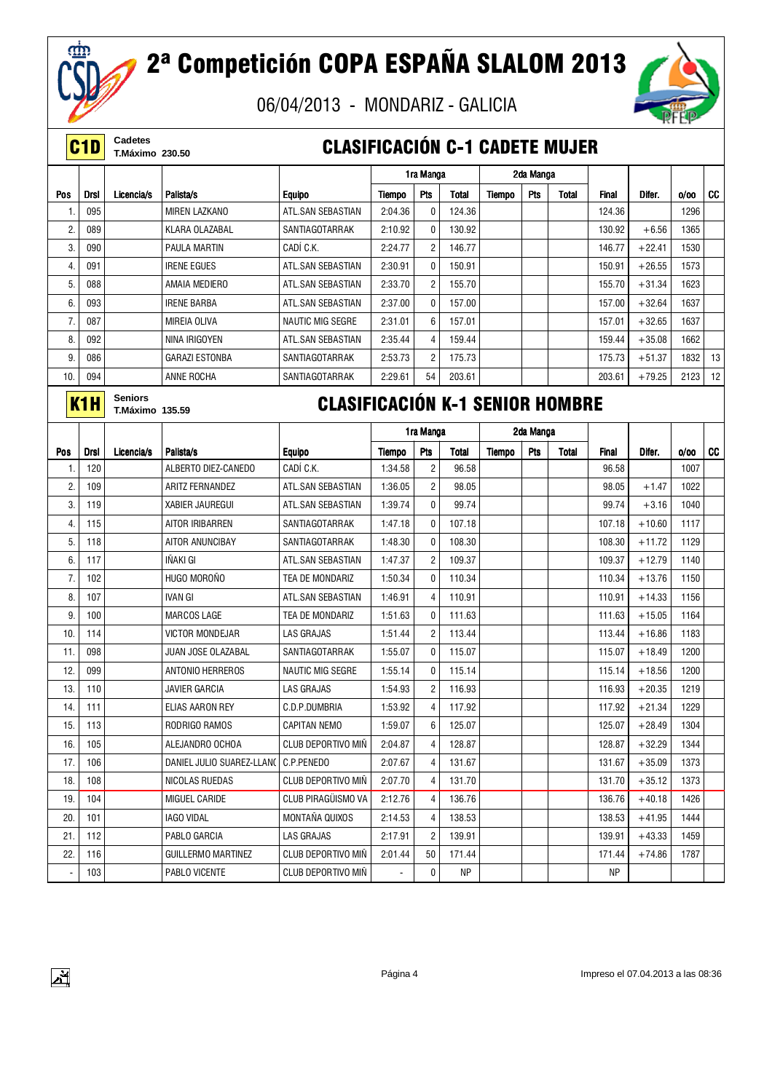

 $\mathbf{A}$ 

# 2ª Competición COPA ESPAÑA SLALOM 2013

06/04/2013 - MONDARIZ - GALICIA



**C1D** Cadetes<br>
T.Máximo 230.50

#### **CLASIFICACIÓN C-1 CADETE MUJER**

|                          |                  |                                   |                                        |                                        |                          | 1ra Manga      |              |        | 2da Manga |              |              |          |      |    |
|--------------------------|------------------|-----------------------------------|----------------------------------------|----------------------------------------|--------------------------|----------------|--------------|--------|-----------|--------------|--------------|----------|------|----|
| Pos                      | <b>Drsl</b>      | Licencia/s                        | Palista/s                              | <b>Equipo</b>                          | Tiempo                   | Pts            | Total        | Tiempo | Pts       | <b>Total</b> | <b>Final</b> | Difer.   | 0/00 | CC |
| $\mathbf{1}$             | 095              |                                   | <b>MIREN LAZKANO</b>                   | ATL.SAN SEBASTIAN                      | 2:04.36                  | $\mathbf{0}$   | 124.36       |        |           |              | 124.36       |          | 1296 |    |
| 2.                       | 089              |                                   | KLARA OLAZABAL                         | SANTIAGOTARRAK                         | 2:10.92                  | 0              | 130.92       |        |           |              | 130.92       | $+6.56$  | 1365 |    |
| 3.                       | 090              |                                   | <b>PAULA MARTIN</b>                    | CADÍ C.K.                              | 2:24.77                  | $\overline{2}$ | 146.77       |        |           |              | 146.77       | $+22.41$ | 1530 |    |
| 4.                       | 091              |                                   | <b>IRENE EGUES</b>                     | ATL.SAN SEBASTIAN                      | 2:30.91                  | $\mathbf{0}$   | 150.91       |        |           |              | 150.91       | $+26.55$ | 1573 |    |
| 5.                       | 088              |                                   | AMAIA MEDIERO                          | ATL.SAN SEBASTIAN                      | 2:33.70                  | $\overline{2}$ | 155.70       |        |           |              | 155.70       | $+31.34$ | 1623 |    |
| 6.                       | 093              |                                   | <b>IRENE BARBA</b>                     | ATL.SAN SEBASTIAN                      | 2:37.00                  | 0              | 157.00       |        |           |              | 157.00       | $+32.64$ | 1637 |    |
| $\overline{7}$ .         | 087              |                                   | MIREIA OLIVA                           | <b>NAUTIC MIG SEGRE</b>                | 2:31.01                  | 6              | 157.01       |        |           |              | 157.01       | $+32.65$ | 1637 |    |
| 8.                       | 092              |                                   | NINA IRIGOYEN                          | ATL.SAN SEBASTIAN                      | 2:35.44                  | $\overline{4}$ | 159.44       |        |           |              | 159.44       | $+35.08$ | 1662 |    |
| 9.                       | 086              |                                   | <b>GARAZI ESTONBA</b>                  | SANTIAGOTARRAK                         | 2:53.73                  | $\overline{c}$ | 175.73       |        |           |              | 175.73       | $+51.37$ | 1832 | 13 |
| 10.                      | 094              |                                   | ANNE ROCHA                             | SANTIAGOTARRAK                         | 2:29.61                  | 54             | 203.61       |        |           |              | 203.61       | $+79.25$ | 2123 | 12 |
|                          | K <sub>1</sub> H | <b>Seniors</b><br>T.Máximo 135.59 |                                        | <b>CLASIFICACIÓN K-1 SENIOR HOMBRE</b> |                          |                |              |        |           |              |              |          |      |    |
|                          |                  |                                   |                                        |                                        |                          | 1ra Manga      |              |        | 2da Manga |              |              |          |      |    |
| Pos                      | <b>Drsl</b>      | Licencia/s                        | Palista/s                              | <b>Equipo</b>                          | Tiempo                   | Pts            | <b>Total</b> | Tiempo | Pts       | <b>Total</b> | <b>Final</b> | Difer.   | 0/00 | CC |
| $\mathbf{1}$             | 120              |                                   | ALBERTO DIEZ-CANEDO                    | CADÍ C.K.                              | 1:34.58                  | $\overline{c}$ | 96.58        |        |           |              | 96.58        |          | 1007 |    |
| 2.                       | 109              |                                   | <b>ARITZ FERNANDEZ</b>                 | ATL.SAN SEBASTIAN                      | 1:36.05                  | $\overline{2}$ | 98.05        |        |           |              | 98.05        | $+1.47$  | 1022 |    |
| 3.                       | 119              |                                   | <b>XABIER JAUREGUI</b>                 | ATL.SAN SEBASTIAN                      | 1:39.74                  | $\mathbf{0}$   | 99.74        |        |           |              | 99.74        | $+3.16$  | 1040 |    |
| 4.                       | 115              |                                   | AITOR IRIBARREN                        | SANTIAGOTARRAK                         | 1:47.18                  | 0              | 107.18       |        |           |              | 107.18       | $+10.60$ | 1117 |    |
| 5.                       | 118              |                                   | AITOR ANUNCIBAY                        | SANTIAGOTARRAK                         | 1:48.30                  | 0              | 108.30       |        |           |              | 108.30       | $+11.72$ | 1129 |    |
| 6.                       | 117              |                                   | <b>INAKI GI</b>                        | ATL.SAN SEBASTIAN                      | 1:47.37                  | $\overline{2}$ | 109.37       |        |           |              | 109.37       | $+12.79$ | 1140 |    |
| 7.                       | 102              |                                   | HUGO MOROÑO                            | TEA DE MONDARIZ                        | 1:50.34                  | $\mathbf{0}$   | 110.34       |        |           |              | 110.34       | $+13.76$ | 1150 |    |
| 8.                       | 107              |                                   | <b>IVAN GI</b>                         | ATL.SAN SEBASTIAN                      | 1:46.91                  | $\overline{4}$ | 110.91       |        |           |              | 110.91       | $+14.33$ | 1156 |    |
| 9.                       | 100              |                                   | <b>MARCOS LAGE</b>                     | TEA DE MONDARIZ                        | 1:51.63                  | $\mathbf{0}$   | 111.63       |        |           |              | 111.63       | $+15.05$ | 1164 |    |
| 10                       | 114              |                                   | <b>VICTOR MONDEJAR</b>                 | <b>LAS GRAJAS</b>                      | 1:51.44                  | $\overline{2}$ | 113.44       |        |           |              | 113.44       | $+16.86$ | 1183 |    |
| 11.                      | 098              |                                   | JUAN JOSE OLAZABAL                     | SANTIAGOTARRAK                         | 1:55.07                  | 0              | 115.07       |        |           |              | 115.07       | $+18.49$ | 1200 |    |
| 12.                      | 099              |                                   | ANTONIO HERREROS                       | NAUTIC MIG SEGRE                       | 1:55.14                  | 0              | 115.14       |        |           |              | 115.14       | $+18.56$ | 1200 |    |
| 13.                      | 110              |                                   | <b>JAVIER GARCIA</b>                   | <b>LAS GRAJAS</b>                      | 1:54.93                  | $\overline{2}$ | 116.93       |        |           |              | 116.93       | $+20.35$ | 1219 |    |
| 14.                      | 111              |                                   | ELIAS AARON REY                        | C.D.P.DUMBRIA                          | 1:53.92                  | $\overline{4}$ | 117.92       |        |           |              | 117.92       | $+21.34$ | 1229 |    |
| 15.                      | 113              |                                   | RODRIGO RAMOS                          | <b>CAPITAN NEMO</b>                    | 1:59.07                  | 6              | 125.07       |        |           |              | 125.07       | $+28.49$ | 1304 |    |
| 16.                      | 105              |                                   | ALEJANDRO OCHOA                        | CLUB DEPORTIVO MIÑ                     | 2:04.87                  | $\overline{4}$ | 128.87       |        |           |              | 128.87       | $+32.29$ | 1344 |    |
| 17.                      | 106              |                                   | DANIEL JULIO SUAREZ-LLAN(   C.P.PENEDO |                                        | 2:07.67                  | 4              | 131.67       |        |           |              | 131.67       | $+35.09$ | 1373 |    |
| 18.                      | 108              |                                   | NICOLAS RUEDAS                         | CLUB DEPORTIVO MIÑ                     | 2:07.70                  | 4              | 131.70       |        |           |              | 131.70       | $+35.12$ | 1373 |    |
| 19.                      | 104              |                                   | MIGUEL CARIDE                          | CLUB PIRAGÜISMO VA                     | 2:12.76                  | 4              | 136.76       |        |           |              | 136.76       | $+40.18$ | 1426 |    |
| 20.                      | 101              |                                   | IAGO VIDAL                             | MONTAÑA QUIXOS                         | 2:14.53                  | 4              | 138.53       |        |           |              | 138.53       | $+41.95$ | 1444 |    |
| 21.                      | 112              |                                   | PABLO GARCIA                           | LAS GRAJAS                             | 2:17.91                  | $\overline{c}$ | 139.91       |        |           |              | 139.91       | $+43.33$ | 1459 |    |
| 22.                      | 116              |                                   | <b>GUILLERMO MARTINEZ</b>              | <b>CLUB DEPORTIVO MIÑ</b>              | 2:01.44                  | 50             | 171.44       |        |           |              | 171.44       | $+74.86$ | 1787 |    |
| $\overline{\phantom{a}}$ | 103              |                                   | PABLO VICENTE                          | <b>CLUB DEPORTIVO MIN</b>              | $\overline{\phantom{a}}$ | 0              | ΝP           |        |           |              | ΝP           |          |      |    |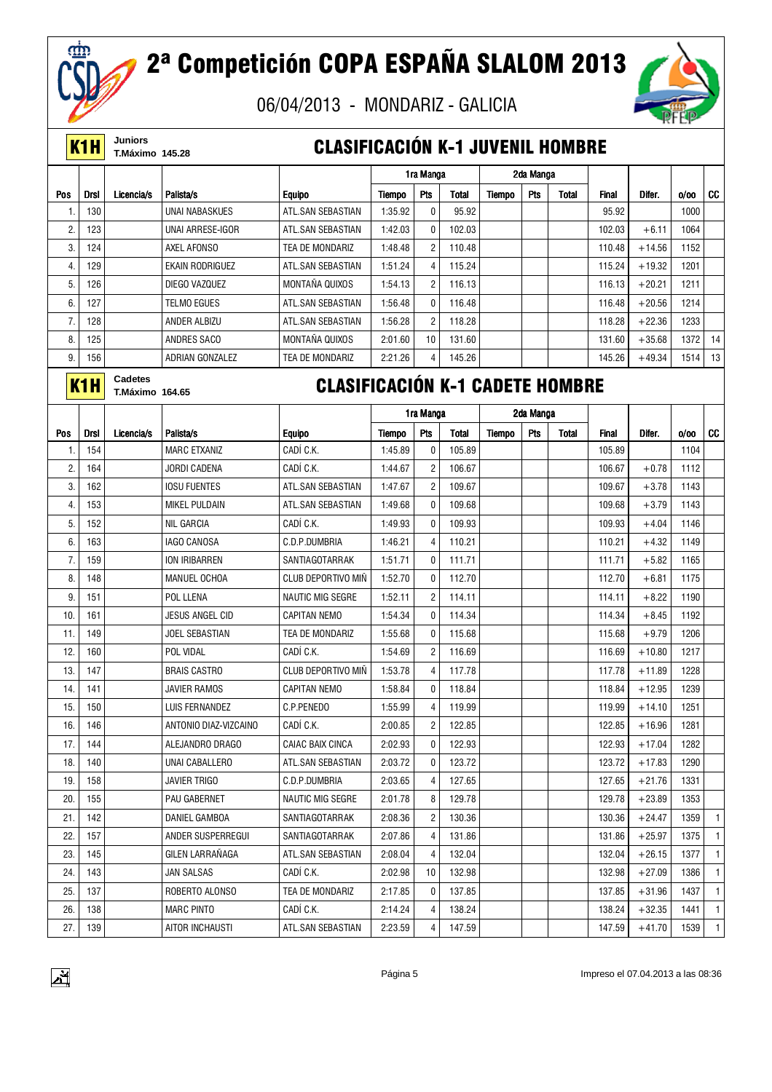

# 2ª Competición COPA ESPAÑA SLALOM 2013

06/04/2013 - MONDARIZ - GALICIA



**K1H** Juniors<br>**K1H** T.Máximo 145.28

#### **CLASIFICACIÓN K-1 JUVENIL HOMBRE**

|                |                  |                                          |                        |                                        |         | 1ra Manga      |        |        | 2da Manga |              |              |          |      |           |
|----------------|------------------|------------------------------------------|------------------------|----------------------------------------|---------|----------------|--------|--------|-----------|--------------|--------------|----------|------|-----------|
| <b>Pos</b>     | <b>Drsl</b>      | Licencia/s                               | Palista/s              | <b>Equipo</b>                          | Tiempo  | Pts            | Total  | Tiempo | Pts       | <b>Total</b> | <b>Final</b> | Difer.   | 0/00 | <b>CC</b> |
|                | 130              |                                          | <b>UNAI NABASKUES</b>  | ATL.SAN SEBASTIAN                      | 1:35.92 | 0              | 95.92  |        |           |              | 95.92        |          | 1000 |           |
| $\overline{2}$ | 123              |                                          | UNAI ARRESE-IGOR       | ATL.SAN SEBASTIAN                      | 1:42.03 | 0              | 102.03 |        |           |              | 102.03       | $+6.11$  | 1064 |           |
| 3.             | 124              |                                          | AXEL AFONSO            | TEA DE MONDARIZ                        | 1:48.48 | $\overline{2}$ | 110.48 |        |           |              | 110.48       | $+14.56$ | 1152 |           |
| 4.             | 129              |                                          | <b>EKAIN RODRIGUEZ</b> | ATL.SAN SEBASTIAN                      | 1:51.24 | $\overline{4}$ | 115.24 |        |           |              | 115.24       | $+19.32$ | 1201 |           |
| 5.             | 126              |                                          | DIEGO VAZQUEZ          | MONTAÑA QUIXOS                         | 1:54.13 | $\overline{2}$ | 116.13 |        |           |              | 116.13       | $+20.21$ | 1211 |           |
| 6.             | 127              |                                          | <b>TELMO EGUES</b>     | ATL.SAN SEBASTIAN                      | 1:56.48 | 0              | 116.48 |        |           |              | 116.48       | $+20.56$ | 1214 |           |
| 7.             | 128              |                                          | ANDER ALBIZU           | ATL.SAN SEBASTIAN                      | 1:56.28 | $\overline{2}$ | 118.28 |        |           |              | 118.28       | $+22.36$ | 1233 |           |
| 8.             | 125              |                                          | ANDRES SACO            | MONTAÑA QUIXOS                         | 2:01.60 | 10             | 131.60 |        |           |              | 131.60       | $+35.68$ | 1372 | 14        |
| 9.             | 156              |                                          | ADRIAN GONZALEZ        | TEA DE MONDARIZ                        | 2:21.26 | 4              | 145.26 |        |           |              | 145.26       | $+49.34$ | 1514 | 13        |
|                | K <sub>1</sub> H | <b>Cadetes</b><br><b>T.Máximo 164.65</b> |                        | <b>CLASIFICACIÓN K-1 CADETE HOMBRE</b> |         |                |        |        |           |              |              |          |      |           |
|                |                  |                                          |                        |                                        |         | 1ra Manga      |        |        | 2da Manga |              |              |          |      |           |
| Pos            | <b>Drsl</b>      | Licencia/s                               | Palista/s              | <b>Equipo</b>                          | Tiempo  | Pts            | Total  | Tiempo | Pts       | <b>Total</b> | <b>Final</b> | Difer.   | 0/00 | CC        |
| $\mathbf{1}$   | 154              |                                          | <b>MARC ETXANIZ</b>    | CADÍ C.K.                              | 1:45.89 | $\mathbf{0}$   | 105.89 |        |           |              | 105.89       |          | 1104 |           |
| 2.             | 164              |                                          | JORDI CADENA           | CADÍ C.K.                              | 1:44.67 | $\overline{2}$ | 106.67 |        |           |              | 106.67       | $+0.78$  | 1112 |           |
| 3.             | 162              |                                          | <b>IOSU FUENTES</b>    | ATL.SAN SEBASTIAN                      | 1:47.67 | $\overline{2}$ | 109.67 |        |           |              | 109.67       | $+3.78$  | 1143 |           |
| 4.             | 153              |                                          | <b>MIKEL PULDAIN</b>   | ATL.SAN SEBASTIAN                      | 1:49.68 | 0              | 109.68 |        |           |              | 109.68       | $+3.79$  | 1143 |           |
| 5.             | 152              |                                          | <b>NIL GARCIA</b>      | CADÍ C.K.                              | 1:49.93 | 0              | 109.93 |        |           |              | 109.93       | $+4.04$  | 1146 |           |

| 4.  | 153 | <b>MIKEL PULDAIN</b>   | ATL.SAN SEBASTIAN       | 1:49.68 | 0              | 109.68 |  | 109.68 | $+3.79$  | 1143 |              |
|-----|-----|------------------------|-------------------------|---------|----------------|--------|--|--------|----------|------|--------------|
| 5.  | 152 | <b>NIL GARCIA</b>      | CADÍ C.K.               | 1:49.93 | $\Omega$       | 109.93 |  | 109.93 | $+4.04$  | 1146 |              |
| 6.  | 163 | <b>IAGO CANOSA</b>     | C.D.P.DUMBRIA           | 1:46.21 | 4              | 110.21 |  | 110.21 | $+4.32$  | 1149 |              |
| 7.  | 159 | ION IRIBARREN          | SANTIAGOTARRAK          | 1:51.71 | $\mathbf{0}$   | 111.71 |  | 111.71 | $+5.82$  | 1165 |              |
| 8.  | 148 | MANUEL OCHOA           | CLUB DEPORTIVO MIÑ      | 1:52.70 | 0              | 112.70 |  | 112.70 | $+6.81$  | 1175 |              |
| 9.  | 151 | POL LLENA              | <b>NAUTIC MIG SEGRE</b> | 1:52.11 | $\overline{2}$ | 114.11 |  | 114.11 | $+8.22$  | 1190 |              |
| 10. | 161 | <b>JESUS ANGEL CID</b> | <b>CAPITAN NEMO</b>     | 1:54.34 | $\mathbf{0}$   | 114.34 |  | 114.34 | $+8.45$  | 1192 |              |
| 11. | 149 | <b>JOEL SEBASTIAN</b>  | TEA DE MONDARIZ         | 1:55.68 | $\mathbf{0}$   | 115.68 |  | 115.68 | $+9.79$  | 1206 |              |
| 12. | 160 | POL VIDAL              | CADÍ C.K.               | 1:54.69 | $\overline{2}$ | 116.69 |  | 116.69 | $+10.80$ | 1217 |              |
| 13. | 147 | <b>BRAIS CASTRO</b>    | CLUB DEPORTIVO MIÑ      | 1:53.78 | $\overline{4}$ | 117.78 |  | 117.78 | $+11.89$ | 1228 |              |
| 14. | 141 | <b>JAVIER RAMOS</b>    | <b>CAPITAN NEMO</b>     | 1:58.84 | $\mathbf{0}$   | 118.84 |  | 118.84 | $+12.95$ | 1239 |              |
| 15. | 150 | LUIS FERNANDEZ         | C.P.PENEDO              | 1:55.99 | 4              | 119.99 |  | 119.99 | $+14.10$ | 1251 |              |
| 16. | 146 | ANTONIO DIAZ-VIZCAINO  | CADÍ C.K.               | 2:00.85 | $\overline{2}$ | 122.85 |  | 122.85 | $+16.96$ | 1281 |              |
| 17. | 144 | ALEJANDRO DRAGO        | <b>CAIAC BAIX CINCA</b> | 2:02.93 | $\Omega$       | 122.93 |  | 122.93 | $+17.04$ | 1282 |              |
| 18. | 140 | UNAI CABALLERO         | ATL.SAN SEBASTIAN       | 2:03.72 | $\Omega$       | 123.72 |  | 123.72 | $+17.83$ | 1290 |              |
| 19. | 158 | <b>JAVIER TRIGO</b>    | C.D.P.DUMBRIA           | 2:03.65 | 4              | 127.65 |  | 127.65 | $+21.76$ | 1331 |              |
| 20. | 155 | PAU GABERNET           | <b>NAUTIC MIG SEGRE</b> | 2:01.78 | 8              | 129.78 |  | 129.78 | $+23.89$ | 1353 |              |
| 21. | 142 | DANIEL GAMBOA          | SANTIAGOTARRAK          | 2:08.36 | $\overline{2}$ | 130.36 |  | 130.36 | $+24.47$ | 1359 |              |
| 22. | 157 | ANDER SUSPERREGUI      | SANTIAGOTARRAK          | 2:07.86 | 4              | 131.86 |  | 131.86 | $+25.97$ | 1375 |              |
| 23. | 145 | GILEN LARRAÑAGA        | ATL.SAN SEBASTIAN       | 2:08.04 | 4              | 132.04 |  | 132.04 | $+26.15$ | 1377 |              |
| 24. | 143 | <b>JAN SALSAS</b>      | CADÍ C.K.               | 2:02.98 | 10             | 132.98 |  | 132.98 | $+27.09$ | 1386 |              |
| 25. | 137 | ROBERTO ALONSO         | TEA DE MONDARIZ         | 2:17.85 | $\mathbf{0}$   | 137.85 |  | 137.85 | $+31.96$ | 1437 |              |
| 26. | 138 | <b>MARC PINTO</b>      | CADÍ C.K.               | 2:14.24 | 4              | 138.24 |  | 138.24 | $+32.35$ | 1441 | $\mathbf{1}$ |
| 27. | 139 | AITOR INCHAUSTI        | ATL.SAN SEBASTIAN       | 2:23.59 | 4              | 147.59 |  | 147.59 | $+41.70$ | 1539 | $\mathbf{1}$ |
|     |     |                        |                         |         |                |        |  |        |          |      |              |

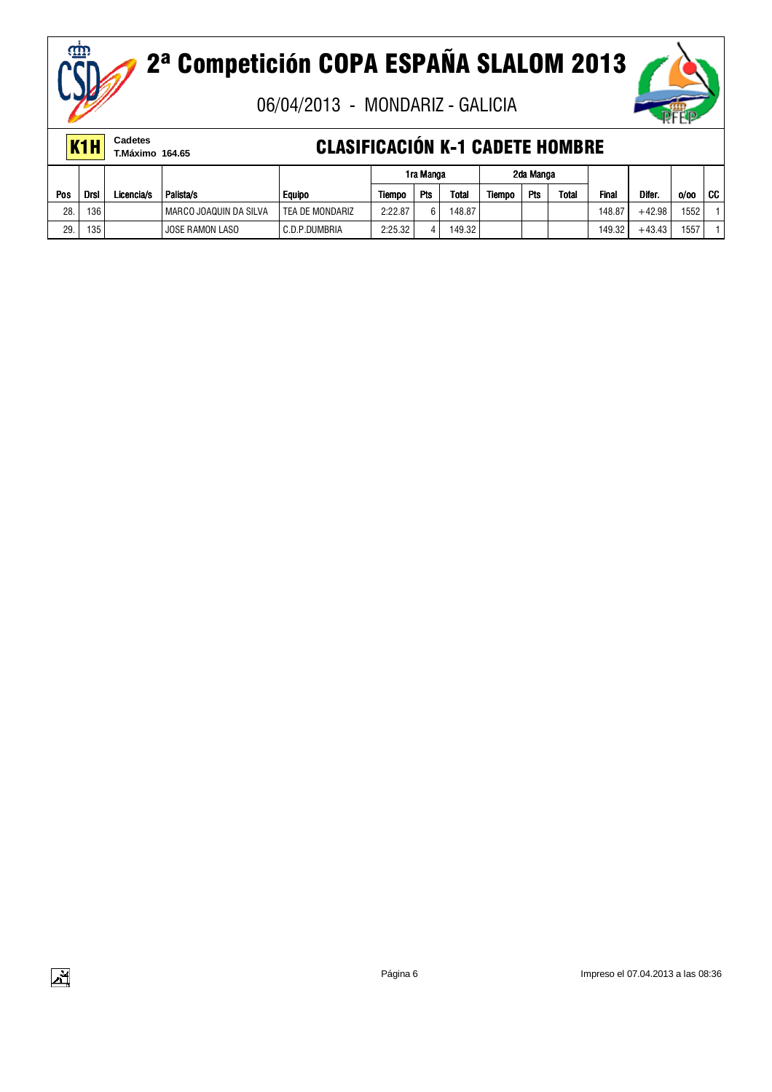

06/04/2013 - MONDARIZ - GALICIA



|     | K <sub>1</sub> H | Cadetes<br>T.Máximo 164.65 |                        | <b>CLASIFICACIÓN K-1 CADETE HOMBRE</b> |         |           |        |        |            |              |        |          |      |      |
|-----|------------------|----------------------------|------------------------|----------------------------------------|---------|-----------|--------|--------|------------|--------------|--------|----------|------|------|
|     |                  |                            |                        |                                        |         | 1ra Manga |        |        | 2da Manga  |              |        |          |      |      |
| Pos | <b>Drsl</b>      | Licencia/s                 | Palista/s              | <b>Equipo</b>                          | Tiempo  | Pts       | Total  | Tiempo | <b>Pts</b> | <b>Total</b> | Final  | Difer.   | 0/00 | l cc |
| 28  | 136              |                            | MARCO JOAQUIN DA SILVA | TEA DE MONDARIZ                        | 2:22.87 | 6         | 148.87 |        |            |              | 148.87 | $+42.98$ | 1552 |      |
| 29  | 135              |                            | JOSE RAMON LASO        | C.D.P.DUMBRIA                          | 2:25.32 |           | 149.32 |        |            |              | 149.32 | $+43.43$ | 1557 |      |

ញ្ញា